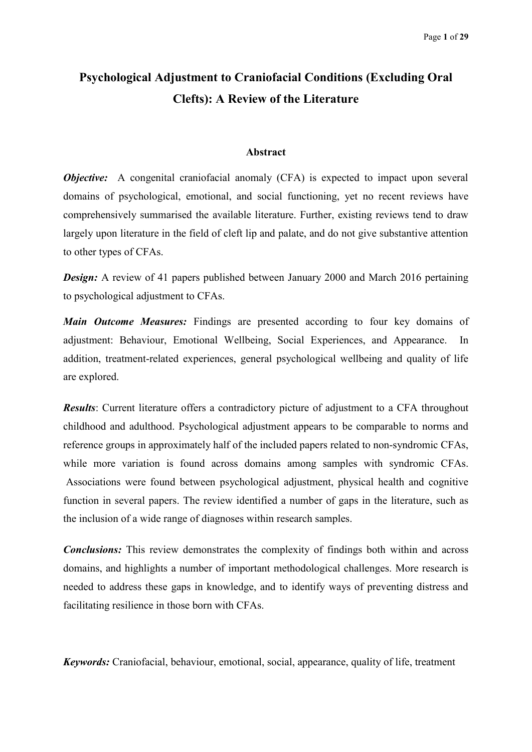# **Psychological Adjustment to Craniofacial Conditions (Excluding Oral Clefts): A Review of the Literature**

#### **Abstract**

*Objective:* A congenital craniofacial anomaly (CFA) is expected to impact upon several domains of psychological, emotional, and social functioning, yet no recent reviews have comprehensively summarised the available literature. Further, existing reviews tend to draw largely upon literature in the field of cleft lip and palate, and do not give substantive attention to other types of CFAs.

*Design:* A review of 41 papers published between January 2000 and March 2016 pertaining to psychological adjustment to CFAs.

*Main Outcome Measures:* Findings are presented according to four key domains of adjustment: Behaviour, Emotional Wellbeing, Social Experiences, and Appearance. In addition, treatment-related experiences, general psychological wellbeing and quality of life are explored.

*Results*: Current literature offers a contradictory picture of adjustment to a CFA throughout childhood and adulthood. Psychological adjustment appears to be comparable to norms and reference groups in approximately half of the included papers related to non-syndromic CFAs, while more variation is found across domains among samples with syndromic CFAs. Associations were found between psychological adjustment, physical health and cognitive function in several papers. The review identified a number of gaps in the literature, such as the inclusion of a wide range of diagnoses within research samples.

*Conclusions:* This review demonstrates the complexity of findings both within and across domains, and highlights a number of important methodological challenges. More research is needed to address these gaps in knowledge, and to identify ways of preventing distress and facilitating resilience in those born with CFAs.

*Keywords:* Craniofacial, behaviour, emotional, social, appearance, quality of life, treatment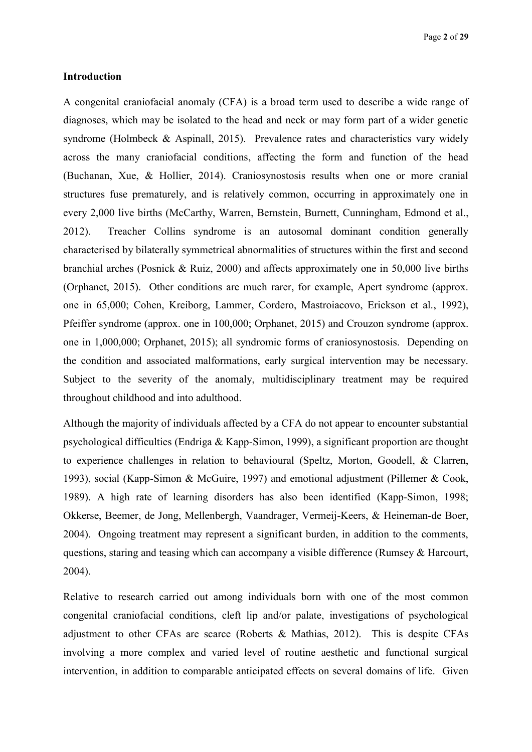## **Introduction**

A congenital craniofacial anomaly (CFA) is a broad term used to describe a wide range of diagnoses, which may be isolated to the head and neck or may form part of a wider genetic syndrome (Holmbeck & Aspinall, 2015). Prevalence rates and characteristics vary widely across the many craniofacial conditions, affecting the form and function of the head (Buchanan, Xue, & Hollier, 2014). Craniosynostosis results when one or more cranial structures fuse prematurely, and is relatively common, occurring in approximately one in every 2,000 live births (McCarthy, Warren, Bernstein, Burnett, Cunningham, Edmond et al., 2012). Treacher Collins syndrome is an autosomal dominant condition generally characterised by bilaterally symmetrical abnormalities of structures within the first and second branchial arches (Posnick & Ruiz, 2000) and affects approximately one in 50,000 live births (Orphanet, 2015). Other conditions are much rarer, for example, Apert syndrome (approx. one in 65,000; Cohen, Kreiborg, Lammer, Cordero, Mastroiacovo, Erickson et al., 1992), Pfeiffer syndrome (approx. one in 100,000; Orphanet, 2015) and Crouzon syndrome (approx. one in 1,000,000; Orphanet, 2015); all syndromic forms of craniosynostosis. Depending on the condition and associated malformations, early surgical intervention may be necessary. Subject to the severity of the anomaly, multidisciplinary treatment may be required throughout childhood and into adulthood.

Although the majority of individuals affected by a CFA do not appear to encounter substantial psychological difficulties (Endriga & Kapp-Simon, 1999), a significant proportion are thought to experience challenges in relation to behavioural (Speltz, Morton, Goodell, & Clarren, 1993), social (Kapp-Simon & McGuire, 1997) and emotional adjustment (Pillemer & Cook, 1989). A high rate of learning disorders has also been identified (Kapp-Simon, 1998; Okkerse, Beemer, de Jong, Mellenbergh, Vaandrager, Vermeij-Keers, & Heineman-de Boer, 2004). Ongoing treatment may represent a significant burden, in addition to the comments, questions, staring and teasing which can accompany a visible difference (Rumsey & Harcourt, 2004).

Relative to research carried out among individuals born with one of the most common congenital craniofacial conditions, cleft lip and/or palate, investigations of psychological adjustment to other CFAs are scarce (Roberts  $\&$  Mathias, 2012). This is despite CFAs involving a more complex and varied level of routine aesthetic and functional surgical intervention, in addition to comparable anticipated effects on several domains of life. Given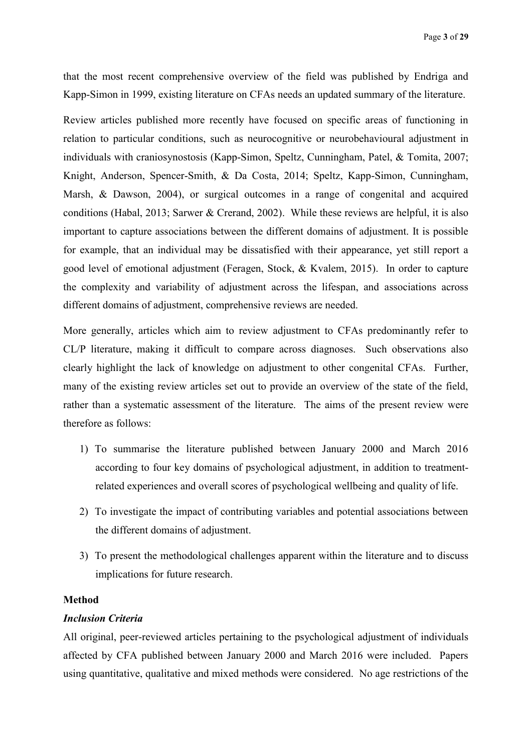that the most recent comprehensive overview of the field was published by Endriga and Kapp-Simon in 1999, existing literature on CFAs needs an updated summary of the literature.

Review articles published more recently have focused on specific areas of functioning in relation to particular conditions, such as neurocognitive or neurobehavioural adjustment in individuals with craniosynostosis (Kapp-Simon, Speltz, Cunningham, Patel, & Tomita, 2007; Knight, Anderson, Spencer-Smith, & Da Costa, 2014; Speltz, Kapp-Simon, Cunningham, Marsh, & Dawson, 2004), or surgical outcomes in a range of congenital and acquired conditions (Habal, 2013; Sarwer & Crerand, 2002). While these reviews are helpful, it is also important to capture associations between the different domains of adjustment. It is possible for example, that an individual may be dissatisfied with their appearance, yet still report a good level of emotional adjustment (Feragen, Stock, & Kvalem, 2015). In order to capture the complexity and variability of adjustment across the lifespan, and associations across different domains of adjustment, comprehensive reviews are needed.

More generally, articles which aim to review adjustment to CFAs predominantly refer to CL/P literature, making it difficult to compare across diagnoses. Such observations also clearly highlight the lack of knowledge on adjustment to other congenital CFAs. Further, many of the existing review articles set out to provide an overview of the state of the field, rather than a systematic assessment of the literature. The aims of the present review were therefore as follows:

- 1) To summarise the literature published between January 2000 and March 2016 according to four key domains of psychological adjustment, in addition to treatmentrelated experiences and overall scores of psychological wellbeing and quality of life.
- 2) To investigate the impact of contributing variables and potential associations between the different domains of adjustment.
- 3) To present the methodological challenges apparent within the literature and to discuss implications for future research.

### **Method**

#### *Inclusion Criteria*

All original, peer-reviewed articles pertaining to the psychological adjustment of individuals affected by CFA published between January 2000 and March 2016 were included. Papers using quantitative, qualitative and mixed methods were considered. No age restrictions of the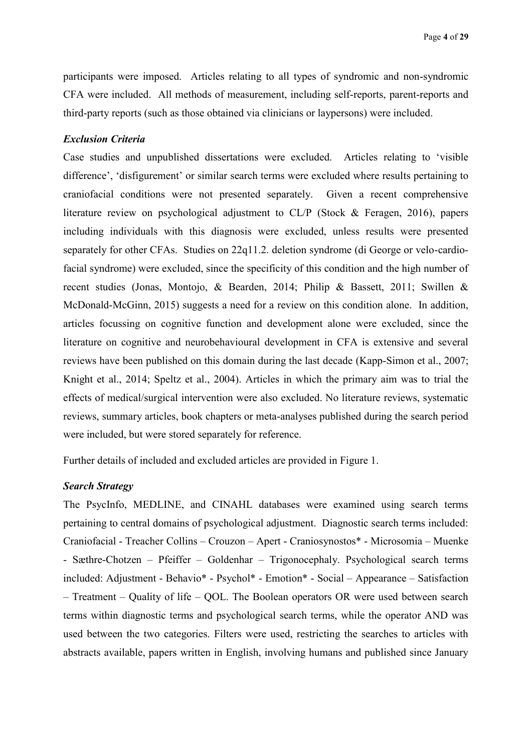participants were imposed. Articles relating to all types of syndromic and non-syndromic CFA were included. All methods of measurement, including self-reports, parent-reports and third-party reports (such as those obtained via clinicians or laypersons) were included.

### *Exclusion Criteria*

Case studies and unpublished dissertations were excluded. Articles relating to 'visible difference', 'disfigurement' or similar search terms were excluded where results pertaining to craniofacial conditions were not presented separately. Given a recent comprehensive literature review on psychological adjustment to CL/P (Stock & Feragen, 2016), papers including individuals with this diagnosis were excluded, unless results were presented separately for other CFAs. Studies on 22q11.2. deletion syndrome (di George or velo-cardiofacial syndrome) were excluded, since the specificity of this condition and the high number of recent studies (Jonas, Montojo, & Bearden, 2014; Philip & Bassett, 2011; Swillen & McDonald-McGinn, 2015) suggests a need for a review on this condition alone. In addition, articles focussing on cognitive function and development alone were excluded, since the literature on cognitive and neurobehavioural development in CFA is extensive and several reviews have been published on this domain during the last decade (Kapp-Simon et al., 2007; Knight et al., 2014; Speltz et al., 2004). Articles in which the primary aim was to trial the effects of medical/surgical intervention were also excluded. No literature reviews, systematic reviews, summary articles, book chapters or meta-analyses published during the search period were included, but were stored separately for reference.

Further details of included and excluded articles are provided in Figure 1.

## *Search Strategy*

The PsycInfo, MEDLINE, and CINAHL databases were examined using search terms pertaining to central domains of psychological adjustment. Diagnostic search terms included: Craniofacial - Treacher Collins – Crouzon – Apert - Craniosynostos\* - Microsomia – Muenke - Sæthre-Chotzen – Pfeiffer – Goldenhar – Trigonocephaly. Psychological search terms included: Adjustment - Behavio\* - Psychol\* - Emotion\* - Social – Appearance – Satisfaction – Treatment – Quality of life – QOL. The Boolean operators OR were used between search terms within diagnostic terms and psychological search terms, while the operator AND was used between the two categories. Filters were used, restricting the searches to articles with abstracts available, papers written in English, involving humans and published since January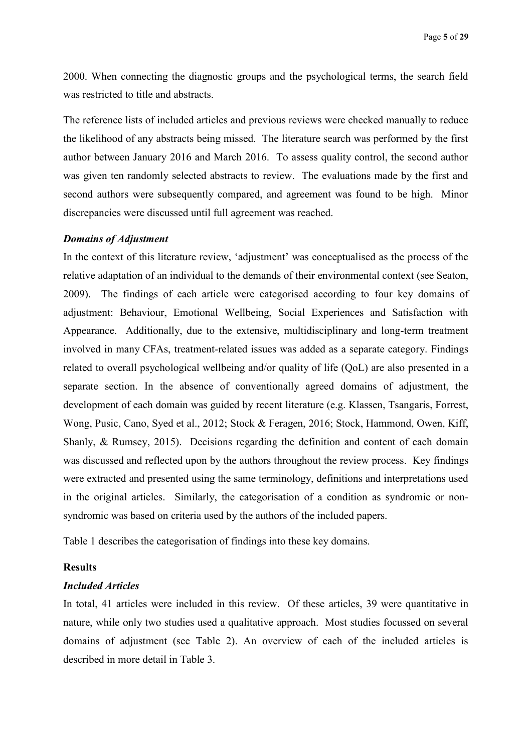2000. When connecting the diagnostic groups and the psychological terms, the search field was restricted to title and abstracts.

The reference lists of included articles and previous reviews were checked manually to reduce the likelihood of any abstracts being missed. The literature search was performed by the first author between January 2016 and March 2016. To assess quality control, the second author was given ten randomly selected abstracts to review. The evaluations made by the first and second authors were subsequently compared, and agreement was found to be high. Minor discrepancies were discussed until full agreement was reached.

#### *Domains of Adjustment*

In the context of this literature review, 'adjustment' was conceptualised as the process of the relative adaptation of an individual to the demands of their environmental context (see Seaton, 2009). The findings of each article were categorised according to four key domains of adjustment: Behaviour, Emotional Wellbeing, Social Experiences and Satisfaction with Appearance. Additionally, due to the extensive, multidisciplinary and long-term treatment involved in many CFAs, treatment-related issues was added as a separate category. Findings related to overall psychological wellbeing and/or quality of life (QoL) are also presented in a separate section. In the absence of conventionally agreed domains of adjustment, the development of each domain was guided by recent literature (e.g. Klassen, Tsangaris, Forrest, Wong, Pusic, Cano, Syed et al., 2012; Stock & Feragen, 2016; Stock, Hammond, Owen, Kiff, Shanly, & Rumsey, 2015). Decisions regarding the definition and content of each domain was discussed and reflected upon by the authors throughout the review process. Key findings were extracted and presented using the same terminology, definitions and interpretations used in the original articles. Similarly, the categorisation of a condition as syndromic or nonsyndromic was based on criteria used by the authors of the included papers.

Table 1 describes the categorisation of findings into these key domains.

## **Results**

## *Included Articles*

In total, 41 articles were included in this review. Of these articles, 39 were quantitative in nature, while only two studies used a qualitative approach. Most studies focussed on several domains of adjustment (see Table 2). An overview of each of the included articles is described in more detail in Table 3.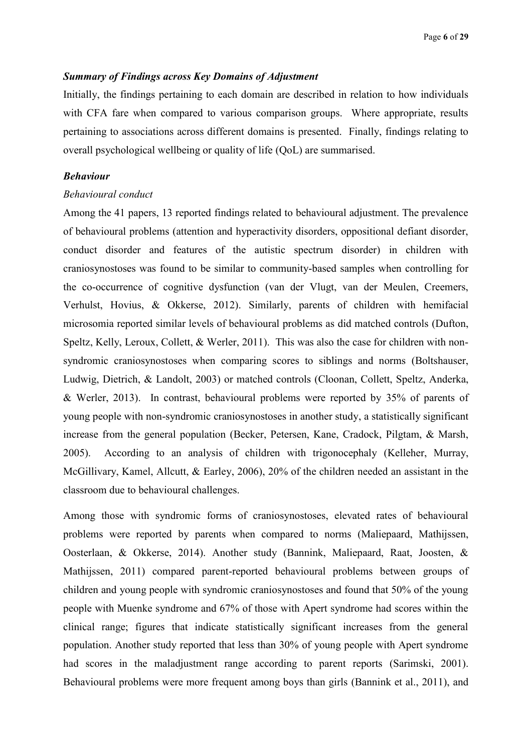### *Summary of Findings across Key Domains of Adjustment*

Initially, the findings pertaining to each domain are described in relation to how individuals with CFA fare when compared to various comparison groups. Where appropriate, results pertaining to associations across different domains is presented. Finally, findings relating to overall psychological wellbeing or quality of life (QoL) are summarised.

## *Behaviour*

#### *Behavioural conduct*

Among the 41 papers, 13 reported findings related to behavioural adjustment. The prevalence of behavioural problems (attention and hyperactivity disorders, oppositional defiant disorder, conduct disorder and features of the autistic spectrum disorder) in children with craniosynostoses was found to be similar to community-based samples when controlling for the co-occurrence of cognitive dysfunction (van der Vlugt, van der Meulen, Creemers, Verhulst, Hovius, & Okkerse, 2012). Similarly, parents of children with hemifacial microsomia reported similar levels of behavioural problems as did matched controls (Dufton, Speltz, Kelly, Leroux, Collett, & Werler, 2011). This was also the case for children with nonsyndromic craniosynostoses when comparing scores to siblings and norms (Boltshauser, Ludwig, Dietrich, & Landolt, 2003) or matched controls (Cloonan, Collett, Speltz, Anderka, & Werler, 2013). In contrast, behavioural problems were reported by 35% of parents of young people with non-syndromic craniosynostoses in another study, a statistically significant increase from the general population (Becker, Petersen, Kane, Cradock, Pilgtam, & Marsh, 2005). According to an analysis of children with trigonocephaly (Kelleher, Murray, McGillivary, Kamel, Allcutt, & Earley, 2006), 20% of the children needed an assistant in the classroom due to behavioural challenges.

Among those with syndromic forms of craniosynostoses, elevated rates of behavioural problems were reported by parents when compared to norms (Maliepaard, Mathijssen, Oosterlaan, & Okkerse, 2014). Another study (Bannink, Maliepaard, Raat, Joosten, & Mathijssen, 2011) compared parent-reported behavioural problems between groups of children and young people with syndromic craniosynostoses and found that 50% of the young people with Muenke syndrome and 67% of those with Apert syndrome had scores within the clinical range; figures that indicate statistically significant increases from the general population. Another study reported that less than 30% of young people with Apert syndrome had scores in the maladjustment range according to parent reports (Sarimski, 2001). Behavioural problems were more frequent among boys than girls (Bannink et al., 2011), and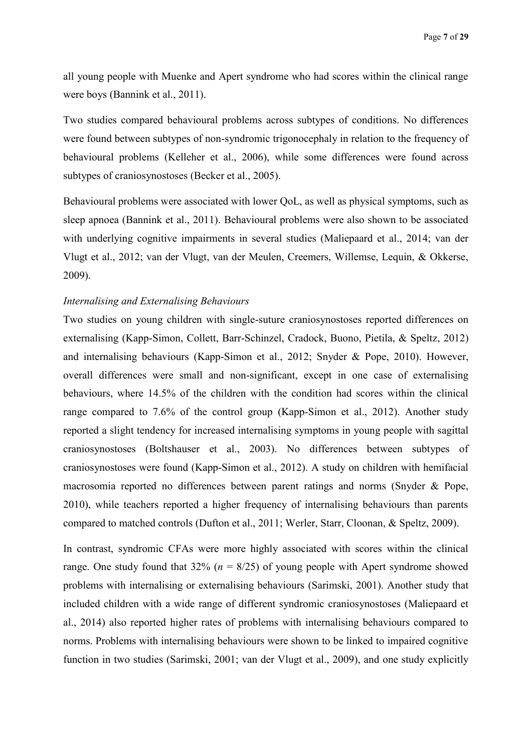all young people with Muenke and Apert syndrome who had scores within the clinical range were boys (Bannink et al., 2011).

Two studies compared behavioural problems across subtypes of conditions. No differences were found between subtypes of non-syndromic trigonocephaly in relation to the frequency of behavioural problems (Kelleher et al., 2006), while some differences were found across subtypes of craniosynostoses (Becker et al., 2005).

Behavioural problems were associated with lower QoL, as well as physical symptoms, such as sleep apnoea (Bannink et al., 2011). Behavioural problems were also shown to be associated with underlying cognitive impairments in several studies (Maliepaard et al., 2014; van der Vlugt et al., 2012; van der Vlugt, van der Meulen, Creemers, Willemse, Lequin, & Okkerse, 2009).

#### *Internalising and Externalising Behaviours*

Two studies on young children with single-suture craniosynostoses reported differences on externalising (Kapp-Simon, Collett, Barr-Schinzel, Cradock, Buono, Pietila, & Speltz, 2012) and internalising behaviours (Kapp-Simon et al., 2012; Snyder & Pope, 2010). However, overall differences were small and non-significant, except in one case of externalising behaviours, where 14.5% of the children with the condition had scores within the clinical range compared to 7.6% of the control group (Kapp-Simon et al., 2012). Another study reported a slight tendency for increased internalising symptoms in young people with sagittal craniosynostoses (Boltshauser et al., 2003). No differences between subtypes of craniosynostoses were found (Kapp-Simon et al., 2012). A study on children with hemifacial macrosomia reported no differences between parent ratings and norms (Snyder & Pope, 2010), while teachers reported a higher frequency of internalising behaviours than parents compared to matched controls (Dufton et al., 2011; Werler, Starr, Cloonan, & Speltz, 2009).

In contrast, syndromic CFAs were more highly associated with scores within the clinical range. One study found that  $32\%$  ( $n = 8/25$ ) of young people with Apert syndrome showed problems with internalising or externalising behaviours (Sarimski, 2001). Another study that included children with a wide range of different syndromic craniosynostoses (Maliepaard et al., 2014) also reported higher rates of problems with internalising behaviours compared to norms. Problems with internalising behaviours were shown to be linked to impaired cognitive function in two studies (Sarimski, 2001; van der Vlugt et al., 2009), and one study explicitly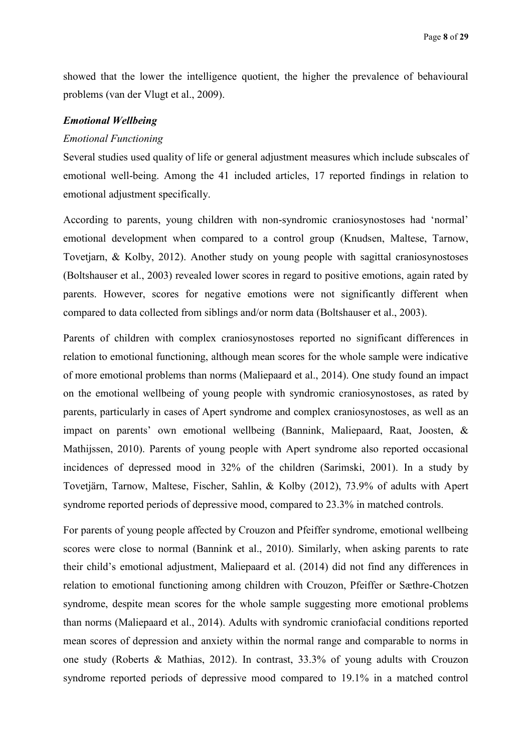showed that the lower the intelligence quotient, the higher the prevalence of behavioural problems (van der Vlugt et al., 2009).

#### *Emotional Wellbeing*

#### *Emotional Functioning*

Several studies used quality of life or general adjustment measures which include subscales of emotional well-being. Among the 41 included articles, 17 reported findings in relation to emotional adjustment specifically.

According to parents, young children with non-syndromic craniosynostoses had 'normal' emotional development when compared to a control group (Knudsen, Maltese, Tarnow, Tovetjarn, & Kolby, 2012). Another study on young people with sagittal craniosynostoses (Boltshauser et al., 2003) revealed lower scores in regard to positive emotions, again rated by parents. However, scores for negative emotions were not significantly different when compared to data collected from siblings and/or norm data (Boltshauser et al., 2003).

Parents of children with complex craniosynostoses reported no significant differences in relation to emotional functioning, although mean scores for the whole sample were indicative of more emotional problems than norms (Maliepaard et al., 2014). One study found an impact on the emotional wellbeing of young people with syndromic craniosynostoses, as rated by parents, particularly in cases of Apert syndrome and complex craniosynostoses, as well as an impact on parents' own emotional wellbeing (Bannink, Maliepaard, Raat, Joosten, & Mathijssen, 2010). Parents of young people with Apert syndrome also reported occasional incidences of depressed mood in 32% of the children (Sarimski, 2001). In a study by Tovetjärn, Tarnow, Maltese, Fischer, Sahlin, & Kolby (2012), 73.9% of adults with Apert syndrome reported periods of depressive mood, compared to 23.3% in matched controls.

For parents of young people affected by Crouzon and Pfeiffer syndrome, emotional wellbeing scores were close to normal (Bannink et al., 2010). Similarly, when asking parents to rate their child's emotional adjustment, Maliepaard et al. (2014) did not find any differences in relation to emotional functioning among children with Crouzon, Pfeiffer or Sæthre-Chotzen syndrome, despite mean scores for the whole sample suggesting more emotional problems than norms (Maliepaard et al., 2014). Adults with syndromic craniofacial conditions reported mean scores of depression and anxiety within the normal range and comparable to norms in one study (Roberts & Mathias, 2012). In contrast, 33.3% of young adults with Crouzon syndrome reported periods of depressive mood compared to 19.1% in a matched control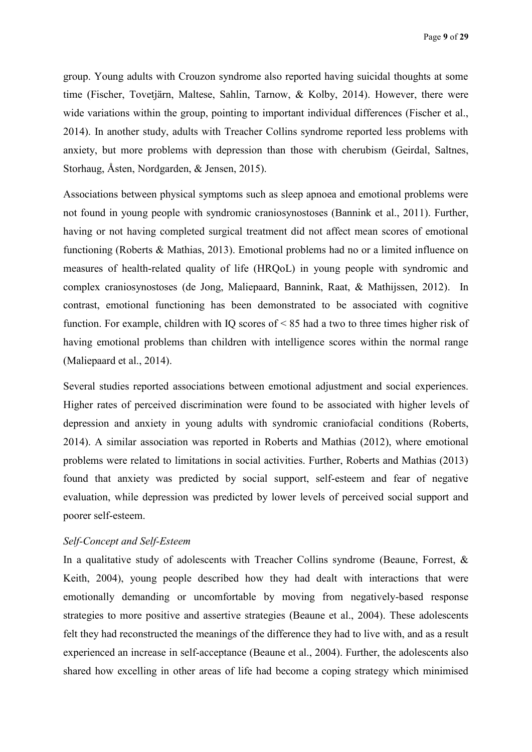group. Young adults with Crouzon syndrome also reported having suicidal thoughts at some time (Fischer, Tovetjärn, Maltese, Sahlin, Tarnow, & Kolby, 2014). However, there were wide variations within the group, pointing to important individual differences (Fischer et al., 2014). In another study, adults with Treacher Collins syndrome reported less problems with anxiety, but more problems with depression than those with cherubism (Geirdal, Saltnes, Storhaug, Åsten, Nordgarden, & Jensen, 2015).

Associations between physical symptoms such as sleep apnoea and emotional problems were not found in young people with syndromic craniosynostoses (Bannink et al., 2011). Further, having or not having completed surgical treatment did not affect mean scores of emotional functioning (Roberts & Mathias, 2013). Emotional problems had no or a limited influence on measures of health-related quality of life (HRQoL) in young people with syndromic and complex craniosynostoses (de Jong, Maliepaard, Bannink, Raat, & Mathijssen, 2012). In contrast, emotional functioning has been demonstrated to be associated with cognitive function. For example, children with IQ scores of < 85 had a two to three times higher risk of having emotional problems than children with intelligence scores within the normal range (Maliepaard et al., 2014).

Several studies reported associations between emotional adjustment and social experiences. Higher rates of perceived discrimination were found to be associated with higher levels of depression and anxiety in young adults with syndromic craniofacial conditions (Roberts, 2014). A similar association was reported in Roberts and Mathias (2012), where emotional problems were related to limitations in social activities. Further, Roberts and Mathias (2013) found that anxiety was predicted by social support, self-esteem and fear of negative evaluation, while depression was predicted by lower levels of perceived social support and poorer self-esteem.

## *Self-Concept and Self-Esteem*

In a qualitative study of adolescents with Treacher Collins syndrome (Beaune, Forrest, & Keith, 2004), young people described how they had dealt with interactions that were emotionally demanding or uncomfortable by moving from negatively-based response strategies to more positive and assertive strategies (Beaune et al., 2004). These adolescents felt they had reconstructed the meanings of the difference they had to live with, and as a result experienced an increase in self-acceptance (Beaune et al., 2004). Further, the adolescents also shared how excelling in other areas of life had become a coping strategy which minimised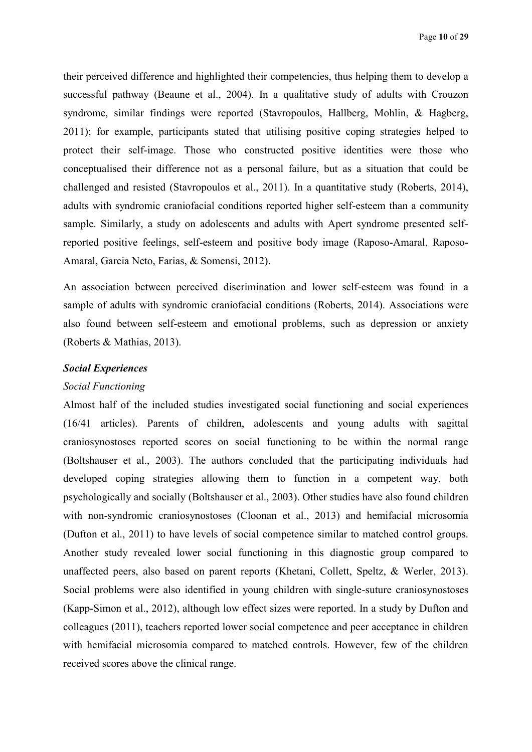their perceived difference and highlighted their competencies, thus helping them to develop a successful pathway (Beaune et al., 2004). In a qualitative study of adults with Crouzon syndrome, similar findings were reported (Stavropoulos, Hallberg, Mohlin, & Hagberg, 2011); for example, participants stated that utilising positive coping strategies helped to protect their self-image. Those who constructed positive identities were those who conceptualised their difference not as a personal failure, but as a situation that could be challenged and resisted (Stavropoulos et al., 2011). In a quantitative study (Roberts, 2014), adults with syndromic craniofacial conditions reported higher self-esteem than a community sample. Similarly, a study on adolescents and adults with Apert syndrome presented selfreported positive feelings, self-esteem and positive body image (Raposo-Amaral, Raposo-Amaral, Garcia Neto, Farias, & Somensi, 2012).

An association between perceived discrimination and lower self-esteem was found in a sample of adults with syndromic craniofacial conditions (Roberts, 2014). Associations were also found between self-esteem and emotional problems, such as depression or anxiety (Roberts & Mathias, 2013).

## *Social Experiences*

#### *Social Functioning*

Almost half of the included studies investigated social functioning and social experiences (16/41 articles). Parents of children, adolescents and young adults with sagittal craniosynostoses reported scores on social functioning to be within the normal range (Boltshauser et al., 2003). The authors concluded that the participating individuals had developed coping strategies allowing them to function in a competent way, both psychologically and socially (Boltshauser et al., 2003). Other studies have also found children with non-syndromic craniosynostoses (Cloonan et al., 2013) and hemifacial microsomia (Dufton et al., 2011) to have levels of social competence similar to matched control groups. Another study revealed lower social functioning in this diagnostic group compared to unaffected peers, also based on parent reports (Khetani, Collett, Speltz, & Werler, 2013). Social problems were also identified in young children with single-suture craniosynostoses (Kapp-Simon et al., 2012), although low effect sizes were reported. In a study by Dufton and colleagues (2011), teachers reported lower social competence and peer acceptance in children with hemifacial microsomia compared to matched controls. However, few of the children received scores above the clinical range.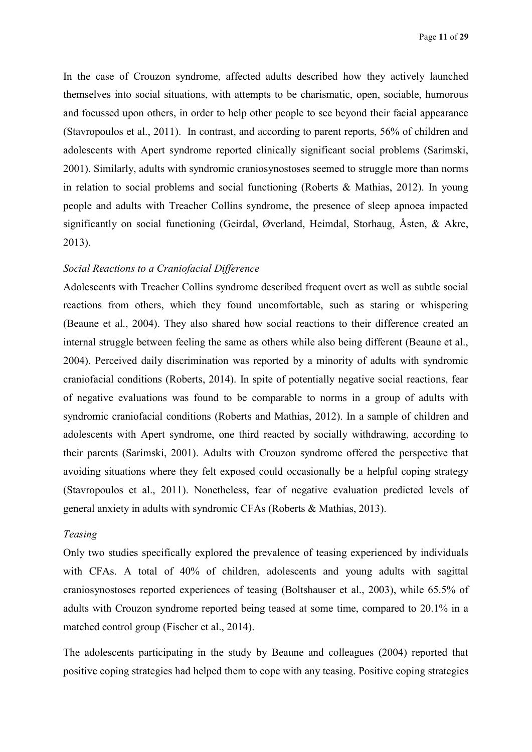In the case of Crouzon syndrome, affected adults described how they actively launched themselves into social situations, with attempts to be charismatic, open, sociable, humorous and focussed upon others, in order to help other people to see beyond their facial appearance (Stavropoulos et al., 2011). In contrast, and according to parent reports, 56% of children and adolescents with Apert syndrome reported clinically significant social problems (Sarimski, 2001). Similarly, adults with syndromic craniosynostoses seemed to struggle more than norms in relation to social problems and social functioning (Roberts & Mathias, 2012). In young people and adults with Treacher Collins syndrome, the presence of sleep apnoea impacted significantly on social functioning (Geirdal, Øverland, Heimdal, Storhaug, Åsten, & Akre, 2013).

# *Social Reactions to a Craniofacial Difference*

Adolescents with Treacher Collins syndrome described frequent overt as well as subtle social reactions from others, which they found uncomfortable, such as staring or whispering (Beaune et al., 2004). They also shared how social reactions to their difference created an internal struggle between feeling the same as others while also being different (Beaune et al., 2004). Perceived daily discrimination was reported by a minority of adults with syndromic craniofacial conditions (Roberts, 2014). In spite of potentially negative social reactions, fear of negative evaluations was found to be comparable to norms in a group of adults with syndromic craniofacial conditions (Roberts and Mathias, 2012). In a sample of children and adolescents with Apert syndrome, one third reacted by socially withdrawing, according to their parents (Sarimski, 2001). Adults with Crouzon syndrome offered the perspective that avoiding situations where they felt exposed could occasionally be a helpful coping strategy (Stavropoulos et al., 2011). Nonetheless, fear of negative evaluation predicted levels of general anxiety in adults with syndromic CFAs (Roberts & Mathias, 2013).

## *Teasing*

Only two studies specifically explored the prevalence of teasing experienced by individuals with CFAs. A total of 40% of children, adolescents and young adults with sagittal craniosynostoses reported experiences of teasing (Boltshauser et al., 2003), while 65.5% of adults with Crouzon syndrome reported being teased at some time, compared to 20.1% in a matched control group (Fischer et al., 2014).

The adolescents participating in the study by Beaune and colleagues (2004) reported that positive coping strategies had helped them to cope with any teasing. Positive coping strategies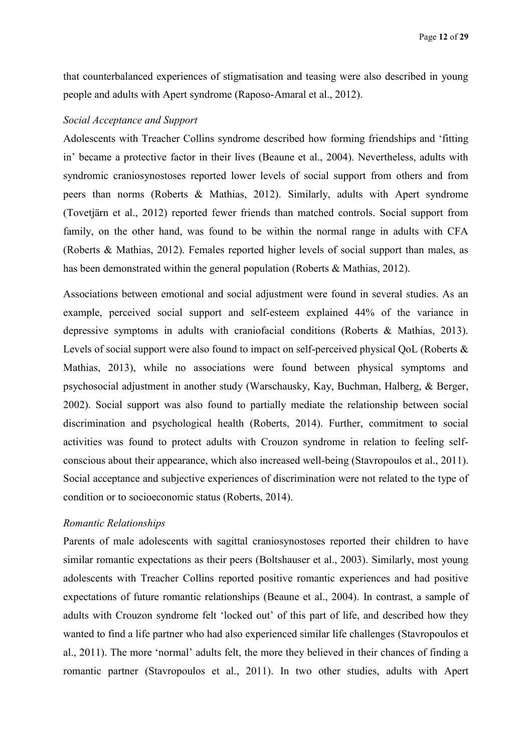that counterbalanced experiences of stigmatisation and teasing were also described in young people and adults with Apert syndrome (Raposo-Amaral et al., 2012).

#### *Social Acceptance and Support*

Adolescents with Treacher Collins syndrome described how forming friendships and 'fitting in' became a protective factor in their lives (Beaune et al., 2004). Nevertheless, adults with syndromic craniosynostoses reported lower levels of social support from others and from peers than norms (Roberts & Mathias, 2012). Similarly, adults with Apert syndrome (Tovetjärn et al., 2012) reported fewer friends than matched controls. Social support from family, on the other hand, was found to be within the normal range in adults with CFA (Roberts & Mathias, 2012). Females reported higher levels of social support than males, as has been demonstrated within the general population (Roberts & Mathias, 2012).

Associations between emotional and social adjustment were found in several studies. As an example, perceived social support and self-esteem explained 44% of the variance in depressive symptoms in adults with craniofacial conditions (Roberts & Mathias, 2013). Levels of social support were also found to impact on self-perceived physical QoL (Roberts & Mathias, 2013), while no associations were found between physical symptoms and psychosocial adjustment in another study (Warschausky, Kay, Buchman, Halberg, & Berger, 2002). Social support was also found to partially mediate the relationship between social discrimination and psychological health (Roberts, 2014). Further, commitment to social activities was found to protect adults with Crouzon syndrome in relation to feeling selfconscious about their appearance, which also increased well-being (Stavropoulos et al., 2011). Social acceptance and subjective experiences of discrimination were not related to the type of condition or to socioeconomic status (Roberts, 2014).

## *Romantic Relationships*

Parents of male adolescents with sagittal craniosynostoses reported their children to have similar romantic expectations as their peers (Boltshauser et al., 2003). Similarly, most young adolescents with Treacher Collins reported positive romantic experiences and had positive expectations of future romantic relationships (Beaune et al., 2004). In contrast, a sample of adults with Crouzon syndrome felt 'locked out' of this part of life, and described how they wanted to find a life partner who had also experienced similar life challenges (Stavropoulos et al., 2011). The more 'normal' adults felt, the more they believed in their chances of finding a romantic partner (Stavropoulos et al., 2011). In two other studies, adults with Apert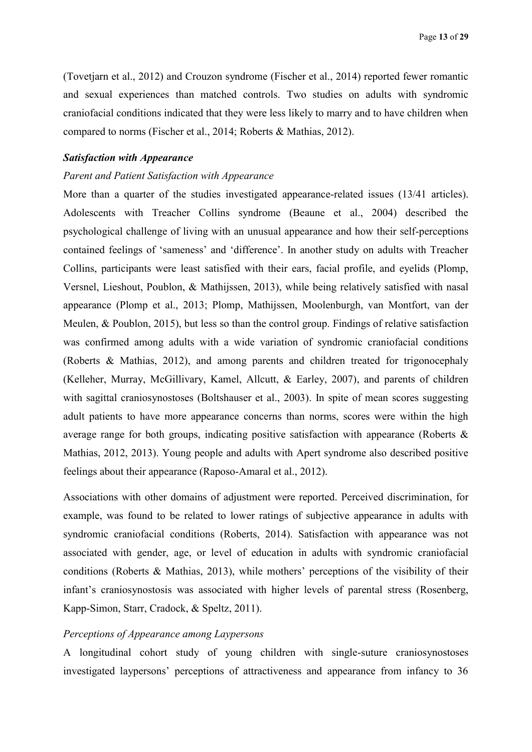(Tovetjarn et al., 2012) and Crouzon syndrome (Fischer et al., 2014) reported fewer romantic and sexual experiences than matched controls. Two studies on adults with syndromic craniofacial conditions indicated that they were less likely to marry and to have children when compared to norms (Fischer et al., 2014; Roberts & Mathias, 2012).

## *Satisfaction with Appearance*

#### *Parent and Patient Satisfaction with Appearance*

More than a quarter of the studies investigated appearance-related issues (13/41 articles). Adolescents with Treacher Collins syndrome (Beaune et al., 2004) described the psychological challenge of living with an unusual appearance and how their self-perceptions contained feelings of 'sameness' and 'difference'. In another study on adults with Treacher Collins, participants were least satisfied with their ears, facial profile, and eyelids (Plomp, Versnel, Lieshout, Poublon, & Mathijssen, 2013), while being relatively satisfied with nasal appearance (Plomp et al., 2013; Plomp, Mathijssen, Moolenburgh, van Montfort, van der Meulen, & Poublon, 2015), but less so than the control group. Findings of relative satisfaction was confirmed among adults with a wide variation of syndromic craniofacial conditions (Roberts & Mathias, 2012), and among parents and children treated for trigonocephaly (Kelleher, Murray, McGillivary, Kamel, Allcutt, & Earley, 2007), and parents of children with sagittal craniosynostoses (Boltshauser et al., 2003). In spite of mean scores suggesting adult patients to have more appearance concerns than norms, scores were within the high average range for both groups, indicating positive satisfaction with appearance (Roberts & Mathias, 2012, 2013). Young people and adults with Apert syndrome also described positive feelings about their appearance (Raposo-Amaral et al., 2012).

Associations with other domains of adjustment were reported. Perceived discrimination, for example, was found to be related to lower ratings of subjective appearance in adults with syndromic craniofacial conditions (Roberts, 2014). Satisfaction with appearance was not associated with gender, age, or level of education in adults with syndromic craniofacial conditions (Roberts & Mathias, 2013), while mothers' perceptions of the visibility of their infant's craniosynostosis was associated with higher levels of parental stress (Rosenberg, Kapp-Simon, Starr, Cradock, & Speltz, 2011).

## *Perceptions of Appearance among Laypersons*

A longitudinal cohort study of young children with single-suture craniosynostoses investigated laypersons' perceptions of attractiveness and appearance from infancy to 36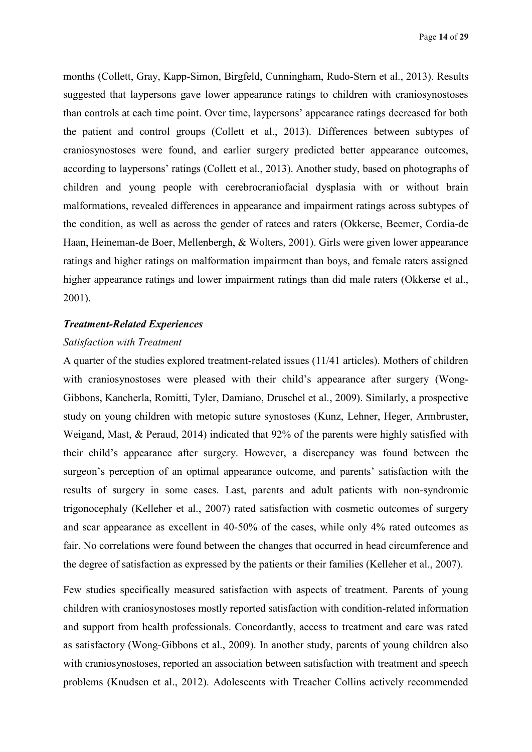months (Collett, Gray, Kapp-Simon, Birgfeld, Cunningham, Rudo-Stern et al., 2013). Results suggested that laypersons gave lower appearance ratings to children with craniosynostoses than controls at each time point. Over time, laypersons' appearance ratings decreased for both the patient and control groups (Collett et al., 2013). Differences between subtypes of craniosynostoses were found, and earlier surgery predicted better appearance outcomes, according to laypersons' ratings (Collett et al., 2013). Another study, based on photographs of children and young people with cerebrocraniofacial dysplasia with or without brain malformations, revealed differences in appearance and impairment ratings across subtypes of the condition, as well as across the gender of ratees and raters (Okkerse, Beemer, Cordia-de Haan, Heineman-de Boer, Mellenbergh, & Wolters, 2001). Girls were given lower appearance ratings and higher ratings on malformation impairment than boys, and female raters assigned higher appearance ratings and lower impairment ratings than did male raters (Okkerse et al., 2001).

#### *Treatment-Related Experiences*

## *Satisfaction with Treatment*

A quarter of the studies explored treatment-related issues (11/41 articles). Mothers of children with craniosynostoses were pleased with their child's appearance after surgery (Wong-Gibbons, Kancherla, Romitti, Tyler, Damiano, Druschel et al., 2009). Similarly, a prospective study on young children with metopic suture synostoses (Kunz, Lehner, Heger, Armbruster, Weigand, Mast, & Peraud, 2014) indicated that 92% of the parents were highly satisfied with their child's appearance after surgery. However, a discrepancy was found between the surgeon's perception of an optimal appearance outcome, and parents' satisfaction with the results of surgery in some cases. Last, parents and adult patients with non-syndromic trigonocephaly (Kelleher et al., 2007) rated satisfaction with cosmetic outcomes of surgery and scar appearance as excellent in 40-50% of the cases, while only 4% rated outcomes as fair. No correlations were found between the changes that occurred in head circumference and the degree of satisfaction as expressed by the patients or their families (Kelleher et al., 2007).

Few studies specifically measured satisfaction with aspects of treatment. Parents of young children with craniosynostoses mostly reported satisfaction with condition-related information and support from health professionals. Concordantly, access to treatment and care was rated as satisfactory (Wong-Gibbons et al., 2009). In another study, parents of young children also with craniosynostoses, reported an association between satisfaction with treatment and speech problems (Knudsen et al., 2012). Adolescents with Treacher Collins actively recommended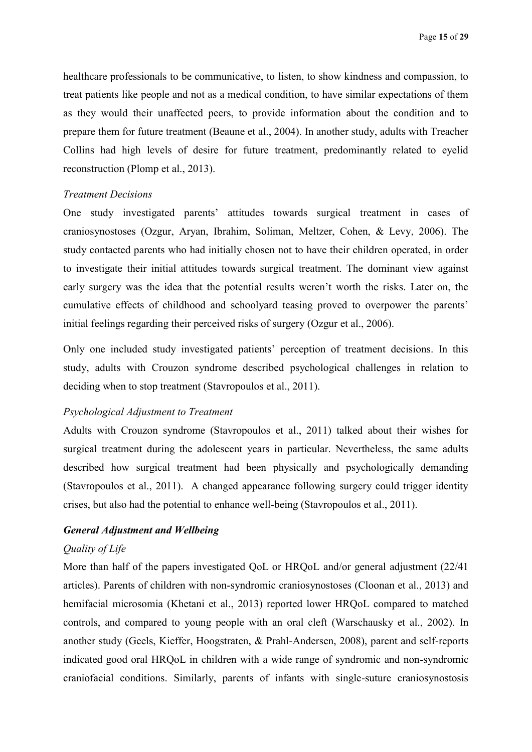healthcare professionals to be communicative, to listen, to show kindness and compassion, to treat patients like people and not as a medical condition, to have similar expectations of them as they would their unaffected peers, to provide information about the condition and to prepare them for future treatment (Beaune et al., 2004). In another study, adults with Treacher Collins had high levels of desire for future treatment, predominantly related to eyelid reconstruction (Plomp et al., 2013).

#### *Treatment Decisions*

One study investigated parents' attitudes towards surgical treatment in cases of craniosynostoses (Ozgur, Aryan, Ibrahim, Soliman, Meltzer, Cohen, & Levy, 2006). The study contacted parents who had initially chosen not to have their children operated, in order to investigate their initial attitudes towards surgical treatment. The dominant view against early surgery was the idea that the potential results weren't worth the risks. Later on, the cumulative effects of childhood and schoolyard teasing proved to overpower the parents' initial feelings regarding their perceived risks of surgery (Ozgur et al., 2006).

Only one included study investigated patients' perception of treatment decisions. In this study, adults with Crouzon syndrome described psychological challenges in relation to deciding when to stop treatment (Stavropoulos et al., 2011).

#### *Psychological Adjustment to Treatment*

Adults with Crouzon syndrome (Stavropoulos et al., 2011) talked about their wishes for surgical treatment during the adolescent years in particular. Nevertheless, the same adults described how surgical treatment had been physically and psychologically demanding (Stavropoulos et al., 2011). A changed appearance following surgery could trigger identity crises, but also had the potential to enhance well-being (Stavropoulos et al., 2011).

# *General Adjustment and Wellbeing*

# *Quality of Life*

More than half of the papers investigated QoL or HRQoL and/or general adjustment (22/41 articles). Parents of children with non-syndromic craniosynostoses (Cloonan et al., 2013) and hemifacial microsomia (Khetani et al., 2013) reported lower HRQoL compared to matched controls, and compared to young people with an oral cleft (Warschausky et al., 2002). In another study (Geels, Kieffer, Hoogstraten, & Prahl-Andersen, 2008), parent and self-reports indicated good oral HRQoL in children with a wide range of syndromic and non-syndromic craniofacial conditions. Similarly, parents of infants with single-suture craniosynostosis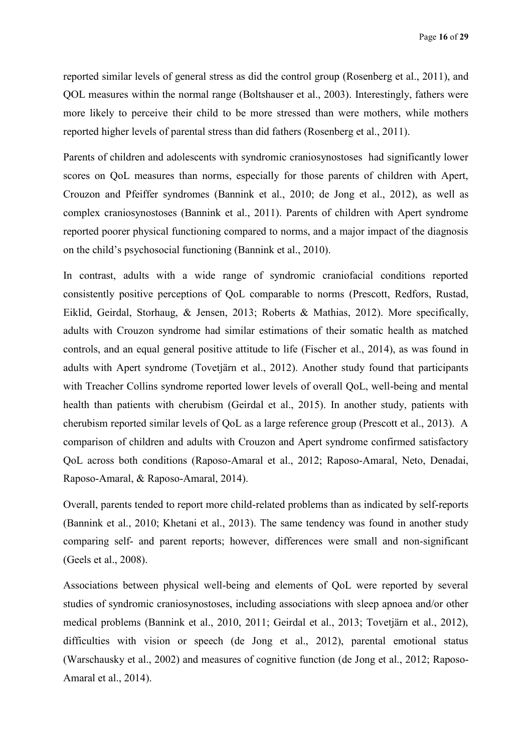reported similar levels of general stress as did the control group (Rosenberg et al., 2011), and QOL measures within the normal range (Boltshauser et al., 2003). Interestingly, fathers were more likely to perceive their child to be more stressed than were mothers, while mothers reported higher levels of parental stress than did fathers (Rosenberg et al., 2011).

Parents of children and adolescents with syndromic craniosynostoses had significantly lower scores on QoL measures than norms, especially for those parents of children with Apert, Crouzon and Pfeiffer syndromes (Bannink et al., 2010; de Jong et al., 2012), as well as complex craniosynostoses (Bannink et al., 2011). Parents of children with Apert syndrome reported poorer physical functioning compared to norms, and a major impact of the diagnosis on the child's psychosocial functioning (Bannink et al., 2010).

In contrast, adults with a wide range of syndromic craniofacial conditions reported consistently positive perceptions of QoL comparable to norms (Prescott, Redfors, Rustad, Eiklid, Geirdal, Storhaug, & Jensen, 2013; Roberts & Mathias, 2012). More specifically, adults with Crouzon syndrome had similar estimations of their somatic health as matched controls, and an equal general positive attitude to life (Fischer et al., 2014), as was found in adults with Apert syndrome (Tovetjärn et al., 2012). Another study found that participants with Treacher Collins syndrome reported lower levels of overall QoL, well-being and mental health than patients with cherubism (Geirdal et al., 2015). In another study, patients with cherubism reported similar levels of QoL as a large reference group (Prescott et al., 2013). A comparison of children and adults with Crouzon and Apert syndrome confirmed satisfactory QoL across both conditions (Raposo-Amaral et al., 2012; Raposo-Amaral, Neto, Denadai, Raposo-Amaral, & Raposo-Amaral, 2014).

Overall, parents tended to report more child-related problems than as indicated by self-reports (Bannink et al., 2010; Khetani et al., 2013). The same tendency was found in another study comparing self- and parent reports; however, differences were small and non-significant (Geels et al., 2008).

Associations between physical well-being and elements of QoL were reported by several studies of syndromic craniosynostoses, including associations with sleep apnoea and/or other medical problems (Bannink et al., 2010, 2011; Geirdal et al., 2013; Tovetjärn et al., 2012), difficulties with vision or speech (de Jong et al., 2012), parental emotional status (Warschausky et al., 2002) and measures of cognitive function (de Jong et al., 2012; Raposo-Amaral et al., 2014).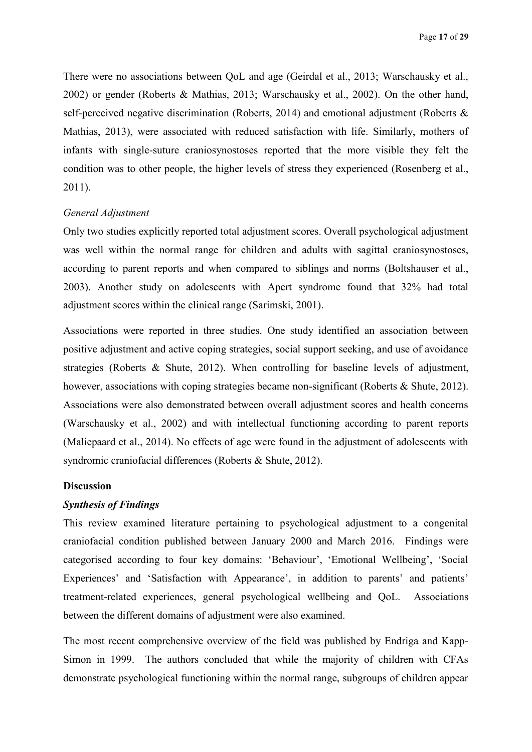There were no associations between QoL and age (Geirdal et al., 2013; Warschausky et al., 2002) or gender (Roberts & Mathias, 2013; Warschausky et al., 2002). On the other hand, self-perceived negative discrimination (Roberts, 2014) and emotional adjustment (Roberts & Mathias, 2013), were associated with reduced satisfaction with life. Similarly, mothers of infants with single-suture craniosynostoses reported that the more visible they felt the condition was to other people, the higher levels of stress they experienced (Rosenberg et al., 2011).

#### *General Adjustment*

Only two studies explicitly reported total adjustment scores. Overall psychological adjustment was well within the normal range for children and adults with sagittal craniosynostoses, according to parent reports and when compared to siblings and norms (Boltshauser et al., 2003). Another study on adolescents with Apert syndrome found that 32% had total adjustment scores within the clinical range (Sarimski, 2001).

Associations were reported in three studies. One study identified an association between positive adjustment and active coping strategies, social support seeking, and use of avoidance strategies (Roberts & Shute, 2012). When controlling for baseline levels of adjustment, however, associations with coping strategies became non-significant (Roberts & Shute, 2012). Associations were also demonstrated between overall adjustment scores and health concerns (Warschausky et al., 2002) and with intellectual functioning according to parent reports (Maliepaard et al., 2014). No effects of age were found in the adjustment of adolescents with syndromic craniofacial differences (Roberts & Shute, 2012).

#### **Discussion**

# *Synthesis of Findings*

This review examined literature pertaining to psychological adjustment to a congenital craniofacial condition published between January 2000 and March 2016. Findings were categorised according to four key domains: 'Behaviour', 'Emotional Wellbeing', 'Social Experiences' and 'Satisfaction with Appearance', in addition to parents' and patients' treatment-related experiences, general psychological wellbeing and QoL. Associations between the different domains of adjustment were also examined.

The most recent comprehensive overview of the field was published by Endriga and Kapp-Simon in 1999. The authors concluded that while the majority of children with CFAs demonstrate psychological functioning within the normal range, subgroups of children appear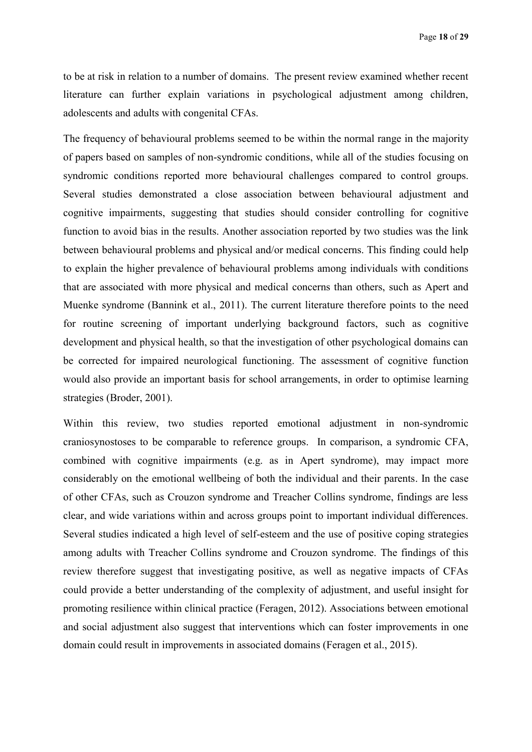to be at risk in relation to a number of domains. The present review examined whether recent literature can further explain variations in psychological adjustment among children, adolescents and adults with congenital CFAs.

The frequency of behavioural problems seemed to be within the normal range in the majority of papers based on samples of non-syndromic conditions, while all of the studies focusing on syndromic conditions reported more behavioural challenges compared to control groups. Several studies demonstrated a close association between behavioural adjustment and cognitive impairments, suggesting that studies should consider controlling for cognitive function to avoid bias in the results. Another association reported by two studies was the link between behavioural problems and physical and/or medical concerns. This finding could help to explain the higher prevalence of behavioural problems among individuals with conditions that are associated with more physical and medical concerns than others, such as Apert and Muenke syndrome (Bannink et al., 2011). The current literature therefore points to the need for routine screening of important underlying background factors, such as cognitive development and physical health, so that the investigation of other psychological domains can be corrected for impaired neurological functioning. The assessment of cognitive function would also provide an important basis for school arrangements, in order to optimise learning strategies (Broder, 2001).

Within this review, two studies reported emotional adjustment in non-syndromic craniosynostoses to be comparable to reference groups. In comparison, a syndromic CFA, combined with cognitive impairments (e.g. as in Apert syndrome), may impact more considerably on the emotional wellbeing of both the individual and their parents. In the case of other CFAs, such as Crouzon syndrome and Treacher Collins syndrome, findings are less clear, and wide variations within and across groups point to important individual differences. Several studies indicated a high level of self-esteem and the use of positive coping strategies among adults with Treacher Collins syndrome and Crouzon syndrome. The findings of this review therefore suggest that investigating positive, as well as negative impacts of CFAs could provide a better understanding of the complexity of adjustment, and useful insight for promoting resilience within clinical practice (Feragen, 2012). Associations between emotional and social adjustment also suggest that interventions which can foster improvements in one domain could result in improvements in associated domains (Feragen et al., 2015).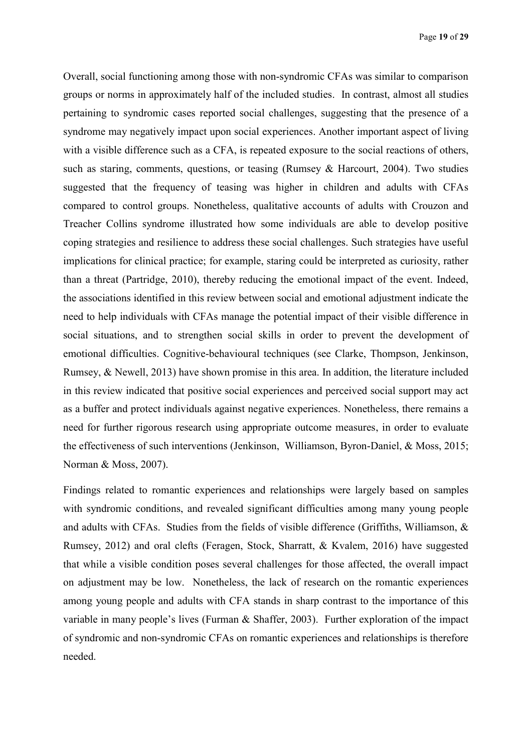Overall, social functioning among those with non-syndromic CFAs was similar to comparison groups or norms in approximately half of the included studies. In contrast, almost all studies pertaining to syndromic cases reported social challenges, suggesting that the presence of a syndrome may negatively impact upon social experiences. Another important aspect of living with a visible difference such as a CFA, is repeated exposure to the social reactions of others, such as staring, comments, questions, or teasing (Rumsey & Harcourt, 2004). Two studies suggested that the frequency of teasing was higher in children and adults with CFAs compared to control groups. Nonetheless, qualitative accounts of adults with Crouzon and Treacher Collins syndrome illustrated how some individuals are able to develop positive coping strategies and resilience to address these social challenges. Such strategies have useful implications for clinical practice; for example, staring could be interpreted as curiosity, rather than a threat (Partridge, 2010), thereby reducing the emotional impact of the event. Indeed, the associations identified in this review between social and emotional adjustment indicate the need to help individuals with CFAs manage the potential impact of their visible difference in social situations, and to strengthen social skills in order to prevent the development of emotional difficulties. Cognitive-behavioural techniques (see Clarke, Thompson, Jenkinson, Rumsey, & Newell, 2013) have shown promise in this area. In addition, the literature included in this review indicated that positive social experiences and perceived social support may act as a buffer and protect individuals against negative experiences. Nonetheless, there remains a need for further rigorous research using appropriate outcome measures, in order to evaluate the effectiveness of such interventions (Jenkinson, Williamson, Byron-Daniel, & Moss, 2015; Norman & Moss, 2007).

Findings related to romantic experiences and relationships were largely based on samples with syndromic conditions, and revealed significant difficulties among many young people and adults with CFAs. Studies from the fields of visible difference (Griffiths, Williamson, & Rumsey, 2012) and oral clefts (Feragen, Stock, Sharratt, & Kvalem, 2016) have suggested that while a visible condition poses several challenges for those affected, the overall impact on adjustment may be low. Nonetheless, the lack of research on the romantic experiences among young people and adults with CFA stands in sharp contrast to the importance of this variable in many people's lives (Furman & Shaffer, 2003). Further exploration of the impact of syndromic and non-syndromic CFAs on romantic experiences and relationships is therefore needed.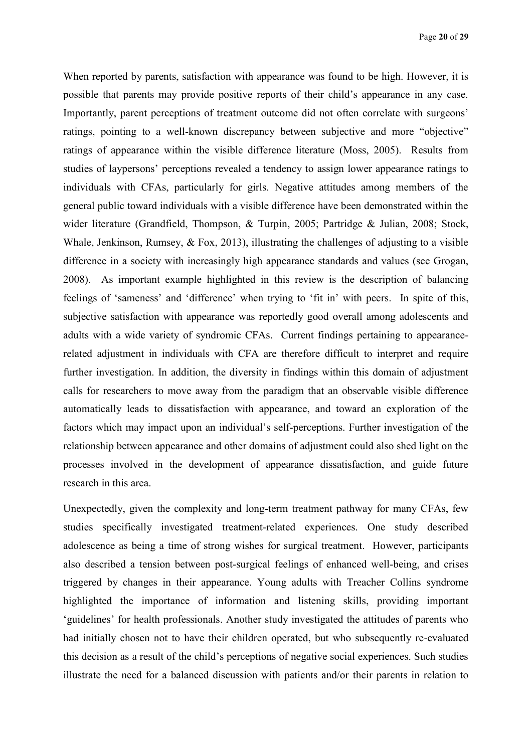When reported by parents, satisfaction with appearance was found to be high. However, it is possible that parents may provide positive reports of their child's appearance in any case. Importantly, parent perceptions of treatment outcome did not often correlate with surgeons' ratings, pointing to a well-known discrepancy between subjective and more "objective" ratings of appearance within the visible difference literature (Moss, 2005). Results from studies of laypersons' perceptions revealed a tendency to assign lower appearance ratings to individuals with CFAs, particularly for girls. Negative attitudes among members of the general public toward individuals with a visible difference have been demonstrated within the wider literature (Grandfield, Thompson, & Turpin, 2005; Partridge & Julian, 2008; Stock, Whale, Jenkinson, Rumsey, & Fox, 2013), illustrating the challenges of adjusting to a visible difference in a society with increasingly high appearance standards and values (see Grogan, 2008). As important example highlighted in this review is the description of balancing feelings of 'sameness' and 'difference' when trying to 'fit in' with peers. In spite of this, subjective satisfaction with appearance was reportedly good overall among adolescents and adults with a wide variety of syndromic CFAs. Current findings pertaining to appearancerelated adjustment in individuals with CFA are therefore difficult to interpret and require further investigation. In addition, the diversity in findings within this domain of adjustment calls for researchers to move away from the paradigm that an observable visible difference automatically leads to dissatisfaction with appearance, and toward an exploration of the factors which may impact upon an individual's self-perceptions. Further investigation of the relationship between appearance and other domains of adjustment could also shed light on the processes involved in the development of appearance dissatisfaction, and guide future research in this area.

Unexpectedly, given the complexity and long-term treatment pathway for many CFAs, few studies specifically investigated treatment-related experiences. One study described adolescence as being a time of strong wishes for surgical treatment. However, participants also described a tension between post-surgical feelings of enhanced well-being, and crises triggered by changes in their appearance. Young adults with Treacher Collins syndrome highlighted the importance of information and listening skills, providing important 'guidelines' for health professionals. Another study investigated the attitudes of parents who had initially chosen not to have their children operated, but who subsequently re-evaluated this decision as a result of the child's perceptions of negative social experiences. Such studies illustrate the need for a balanced discussion with patients and/or their parents in relation to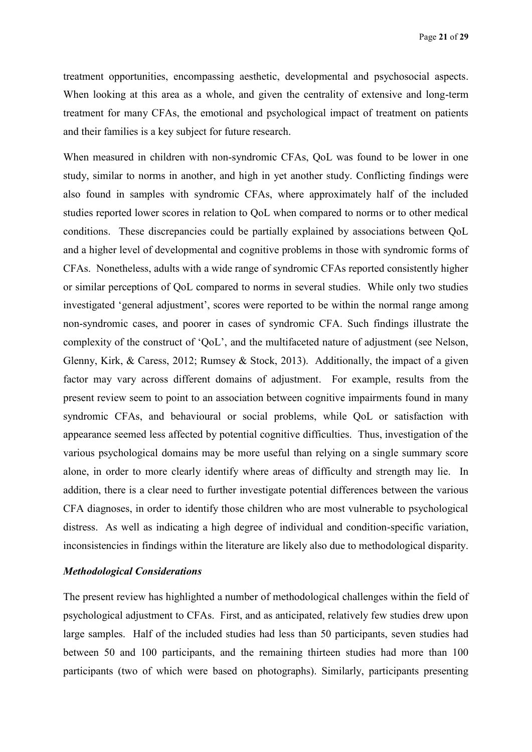treatment opportunities, encompassing aesthetic, developmental and psychosocial aspects. When looking at this area as a whole, and given the centrality of extensive and long-term treatment for many CFAs, the emotional and psychological impact of treatment on patients and their families is a key subject for future research.

When measured in children with non-syndromic CFAs, QoL was found to be lower in one study, similar to norms in another, and high in yet another study. Conflicting findings were also found in samples with syndromic CFAs, where approximately half of the included studies reported lower scores in relation to QoL when compared to norms or to other medical conditions. These discrepancies could be partially explained by associations between QoL and a higher level of developmental and cognitive problems in those with syndromic forms of CFAs. Nonetheless, adults with a wide range of syndromic CFAs reported consistently higher or similar perceptions of QoL compared to norms in several studies. While only two studies investigated 'general adjustment', scores were reported to be within the normal range among non-syndromic cases, and poorer in cases of syndromic CFA. Such findings illustrate the complexity of the construct of 'QoL', and the multifaceted nature of adjustment (see Nelson, Glenny, Kirk, & Caress, 2012; Rumsey & Stock, 2013). Additionally, the impact of a given factor may vary across different domains of adjustment. For example, results from the present review seem to point to an association between cognitive impairments found in many syndromic CFAs, and behavioural or social problems, while QoL or satisfaction with appearance seemed less affected by potential cognitive difficulties. Thus, investigation of the various psychological domains may be more useful than relying on a single summary score alone, in order to more clearly identify where areas of difficulty and strength may lie. In addition, there is a clear need to further investigate potential differences between the various CFA diagnoses, in order to identify those children who are most vulnerable to psychological distress. As well as indicating a high degree of individual and condition-specific variation, inconsistencies in findings within the literature are likely also due to methodological disparity.

## *Methodological Considerations*

The present review has highlighted a number of methodological challenges within the field of psychological adjustment to CFAs. First, and as anticipated, relatively few studies drew upon large samples. Half of the included studies had less than 50 participants, seven studies had between 50 and 100 participants, and the remaining thirteen studies had more than 100 participants (two of which were based on photographs). Similarly, participants presenting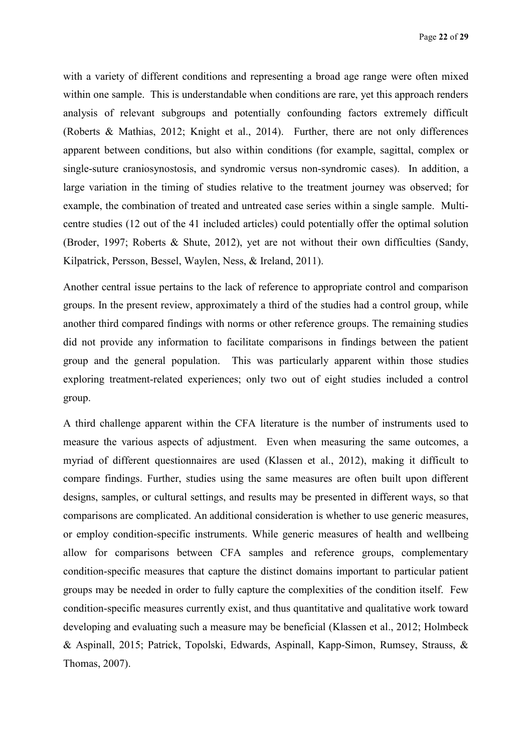with a variety of different conditions and representing a broad age range were often mixed within one sample. This is understandable when conditions are rare, yet this approach renders analysis of relevant subgroups and potentially confounding factors extremely difficult (Roberts & Mathias, 2012; Knight et al., 2014). Further, there are not only differences apparent between conditions, but also within conditions (for example, sagittal, complex or single-suture craniosynostosis, and syndromic versus non-syndromic cases). In addition, a large variation in the timing of studies relative to the treatment journey was observed; for example, the combination of treated and untreated case series within a single sample. Multicentre studies (12 out of the 41 included articles) could potentially offer the optimal solution (Broder, 1997; Roberts & Shute, 2012), yet are not without their own difficulties (Sandy, Kilpatrick, Persson, Bessel, Waylen, Ness, & Ireland, 2011).

Another central issue pertains to the lack of reference to appropriate control and comparison groups. In the present review, approximately a third of the studies had a control group, while another third compared findings with norms or other reference groups. The remaining studies did not provide any information to facilitate comparisons in findings between the patient group and the general population. This was particularly apparent within those studies exploring treatment-related experiences; only two out of eight studies included a control group.

A third challenge apparent within the CFA literature is the number of instruments used to measure the various aspects of adjustment. Even when measuring the same outcomes, a myriad of different questionnaires are used (Klassen et al., 2012), making it difficult to compare findings. Further, studies using the same measures are often built upon different designs, samples, or cultural settings, and results may be presented in different ways, so that comparisons are complicated. An additional consideration is whether to use generic measures, or employ condition-specific instruments. While generic measures of health and wellbeing allow for comparisons between CFA samples and reference groups, complementary condition-specific measures that capture the distinct domains important to particular patient groups may be needed in order to fully capture the complexities of the condition itself. Few condition-specific measures currently exist, and thus quantitative and qualitative work toward developing and evaluating such a measure may be beneficial (Klassen et al., 2012; Holmbeck & Aspinall, 2015; Patrick, Topolski, Edwards, Aspinall, Kapp-Simon, Rumsey, Strauss, & Thomas, 2007).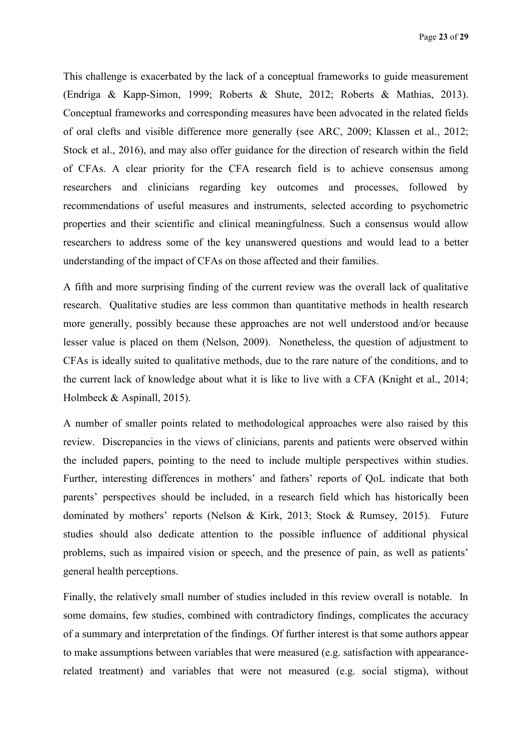This challenge is exacerbated by the lack of a conceptual frameworks to guide measurement (Endriga & Kapp-Simon, 1999; Roberts & Shute, 2012; Roberts & Mathias, 2013). Conceptual frameworks and corresponding measures have been advocated in the related fields of oral clefts and visible difference more generally (see ARC, 2009; Klassen et al., 2012; Stock et al., 2016), and may also offer guidance for the direction of research within the field of CFAs. A clear priority for the CFA research field is to achieve consensus among researchers and clinicians regarding key outcomes and processes, followed by recommendations of useful measures and instruments, selected according to psychometric properties and their scientific and clinical meaningfulness. Such a consensus would allow researchers to address some of the key unanswered questions and would lead to a better understanding of the impact of CFAs on those affected and their families.

A fifth and more surprising finding of the current review was the overall lack of qualitative research. Qualitative studies are less common than quantitative methods in health research more generally, possibly because these approaches are not well understood and/or because lesser value is placed on them (Nelson, 2009). Nonetheless, the question of adjustment to CFAs is ideally suited to qualitative methods, due to the rare nature of the conditions, and to the current lack of knowledge about what it is like to live with a CFA (Knight et al., 2014; Holmbeck & Aspinall, 2015).

A number of smaller points related to methodological approaches were also raised by this review. Discrepancies in the views of clinicians, parents and patients were observed within the included papers, pointing to the need to include multiple perspectives within studies. Further, interesting differences in mothers' and fathers' reports of QoL indicate that both parents' perspectives should be included, in a research field which has historically been dominated by mothers' reports (Nelson & Kirk, 2013; Stock & Rumsey, 2015). Future studies should also dedicate attention to the possible influence of additional physical problems, such as impaired vision or speech, and the presence of pain, as well as patients' general health perceptions.

Finally, the relatively small number of studies included in this review overall is notable. In some domains, few studies, combined with contradictory findings, complicates the accuracy of a summary and interpretation of the findings. Of further interest is that some authors appear to make assumptions between variables that were measured (e.g. satisfaction with appearancerelated treatment) and variables that were not measured (e.g. social stigma), without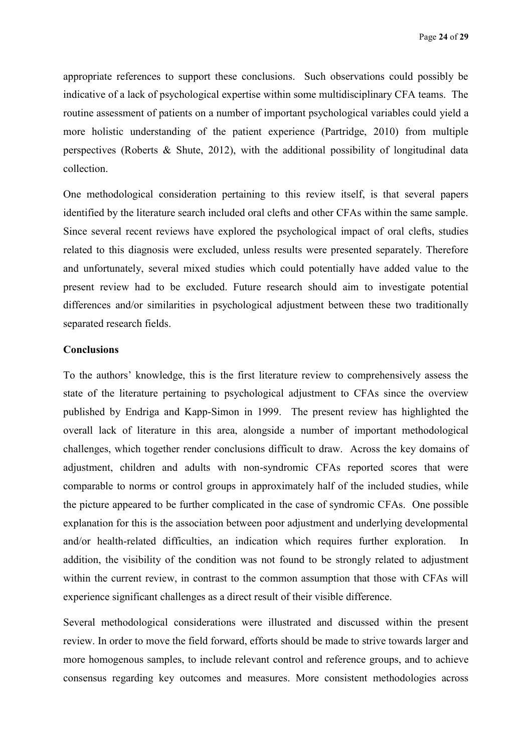appropriate references to support these conclusions. Such observations could possibly be indicative of a lack of psychological expertise within some multidisciplinary CFA teams. The routine assessment of patients on a number of important psychological variables could yield a more holistic understanding of the patient experience (Partridge, 2010) from multiple perspectives (Roberts & Shute, 2012), with the additional possibility of longitudinal data collection.

One methodological consideration pertaining to this review itself, is that several papers identified by the literature search included oral clefts and other CFAs within the same sample. Since several recent reviews have explored the psychological impact of oral clefts, studies related to this diagnosis were excluded, unless results were presented separately. Therefore and unfortunately, several mixed studies which could potentially have added value to the present review had to be excluded. Future research should aim to investigate potential differences and/or similarities in psychological adjustment between these two traditionally separated research fields.

# **Conclusions**

To the authors' knowledge, this is the first literature review to comprehensively assess the state of the literature pertaining to psychological adjustment to CFAs since the overview published by Endriga and Kapp-Simon in 1999. The present review has highlighted the overall lack of literature in this area, alongside a number of important methodological challenges, which together render conclusions difficult to draw. Across the key domains of adjustment, children and adults with non-syndromic CFAs reported scores that were comparable to norms or control groups in approximately half of the included studies, while the picture appeared to be further complicated in the case of syndromic CFAs. One possible explanation for this is the association between poor adjustment and underlying developmental and/or health-related difficulties, an indication which requires further exploration. In addition, the visibility of the condition was not found to be strongly related to adjustment within the current review, in contrast to the common assumption that those with CFAs will experience significant challenges as a direct result of their visible difference.

Several methodological considerations were illustrated and discussed within the present review. In order to move the field forward, efforts should be made to strive towards larger and more homogenous samples, to include relevant control and reference groups, and to achieve consensus regarding key outcomes and measures. More consistent methodologies across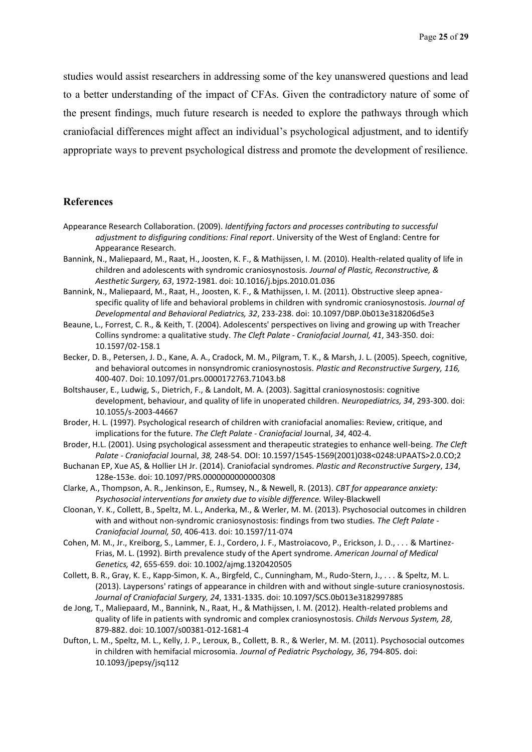studies would assist researchers in addressing some of the key unanswered questions and lead to a better understanding of the impact of CFAs. Given the contradictory nature of some of the present findings, much future research is needed to explore the pathways through which craniofacial differences might affect an individual's psychological adjustment, and to identify appropriate ways to prevent psychological distress and promote the development of resilience.

## **References**

- Appearance Research Collaboration. (2009). *Identifying factors and processes contributing to successful adjustment to disfiguring conditions: Final report*. University of the West of England: Centre for Appearance Research.
- Bannink, N., Maliepaard, M., Raat, H., Joosten, K. F., & Mathijssen, I. M. (2010). Health-related quality of life in children and adolescents with syndromic craniosynostosis. *Journal of Plastic, Reconstructive, & Aesthetic Surgery, 63*, 1972-1981. doi: 10.1016/j.bjps.2010.01.036
- Bannink, N., Maliepaard, M., Raat, H., Joosten, K. F., & Mathijssen, I. M. (2011). Obstructive sleep apneaspecific quality of life and behavioral problems in children with syndromic craniosynostosis. *Journal of Developmental and Behavioral Pediatrics, 32*, 233-238. doi: 10.1097/DBP.0b013e318206d5e3
- Beaune, L., Forrest, C. R., & Keith, T. (2004). Adolescents' perspectives on living and growing up with Treacher Collins syndrome: a qualitative study. *The Cleft Palate - Craniofacial Journal, 41*, 343-350. doi: 10.1597/02-158.1
- Becker, D. B., Petersen, J. D., Kane, A. A., Cradock, M. M., Pilgram, T. K., & Marsh, J. L. (2005). Speech, cognitive, and behavioral outcomes in nonsyndromic craniosynostosis. *Plastic and Reconstructive Surgery, 116,* 400-407. Doi: 10.1097/01.prs.0000172763.71043.b8
- Boltshauser, E., Ludwig, S., Dietrich, F., & Landolt, M. A. (2003). Sagittal craniosynostosis: cognitive development, behaviour, and quality of life in unoperated children. *Neuropediatrics, 34*, 293-300. doi: 10.1055/s-2003-44667
- Broder, H. L. (1997). Psychological research of children with craniofacial anomalies: Review, critique, and implications for the future. *The Cleft Palate - Craniofacial* Journal, *34*, 402-4.
- Broder, H.L. (2001). Using psychological assessment and therapeutic strategies to enhance well-being. *The Cleft Palate - Craniofacial* Journal, *38,* 248-54. DOI: 10.1597/1545-1569(2001)038<0248:UPAATS>2.0.CO;2
- Buchanan EP, Xue AS, & Hollier LH Jr. (2014). Craniofacial syndromes. *Plastic and Reconstructive Surgery*, *134*, 128e-153e. doi: 10.1097/PRS.0000000000000308
- Clarke, A., Thompson, A. R., Jenkinson, E., Rumsey, N., & Newell, R. (2013). *CBT for appearance anxiety: Psychosocial interventions for anxiety due to visible difference.* Wiley-Blackwell
- Cloonan, Y. K., Collett, B., Speltz, M. L., Anderka, M., & Werler, M. M. (2013). Psychosocial outcomes in children with and without non-syndromic craniosynostosis: findings from two studies. *The Cleft Palate - Craniofacial Journal, 50*, 406-413. doi: 10.1597/11-074
- Cohen, M. M., Jr., Kreiborg, S., Lammer, E. J., Cordero, J. F., Mastroiacovo, P., Erickson, J. D., . . . & Martinez-Frias, M. L. (1992). Birth prevalence study of the Apert syndrome. *American Journal of Medical Genetics, 42*, 655-659. doi: 10.1002/ajmg.1320420505
- Collett, B. R., Gray, K. E., Kapp-Simon, K. A., Birgfeld, C., Cunningham, M., Rudo-Stern, J., . . . & Speltz, M. L. (2013). Laypersons' ratings of appearance in children with and without single-suture craniosynostosis. *Journal of Craniofacial Surgery, 24*, 1331-1335. doi: 10.1097/SCS.0b013e3182997885
- de Jong, T., Maliepaard, M., Bannink, N., Raat, H., & Mathijssen, I. M. (2012). Health-related problems and quality of life in patients with syndromic and complex craniosynostosis. *Childs Nervous System, 28*, 879-882. doi: 10.1007/s00381-012-1681-4
- Dufton, L. M., Speltz, M. L., Kelly, J. P., Leroux, B., Collett, B. R., & Werler, M. M. (2011). Psychosocial outcomes in children with hemifacial microsomia. *Journal of Pediatric Psychology, 36*, 794-805. doi: 10.1093/jpepsy/jsq112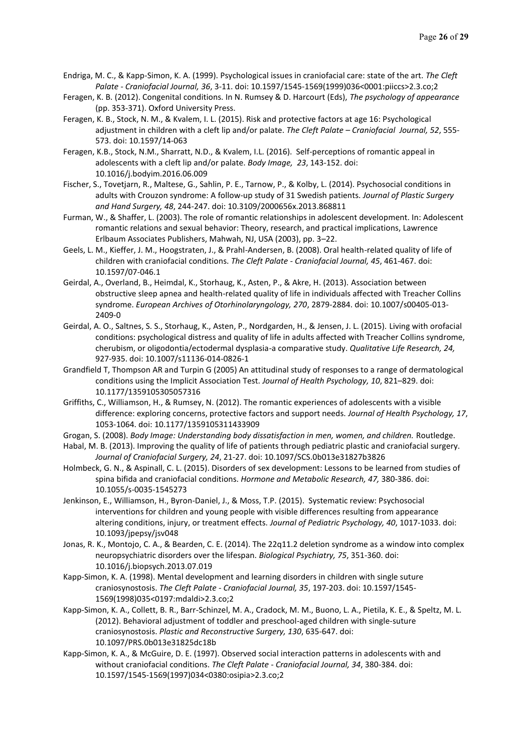- Endriga, M. C., & Kapp-Simon, K. A. (1999). Psychological issues in craniofacial care: state of the art. *The Cleft Palate - Craniofacial Journal, 36*, 3-11. doi: 10.1597/1545-1569(1999)036<0001:piiccs>2.3.co;2
- Feragen, K. B. (2012). Congenital conditions. In N. Rumsey & D. Harcourt (Eds), *The psychology of appearance* (pp. 353-371). Oxford University Press.
- Feragen, K. B., Stock, N. M., & Kvalem, I. L. (2015). Risk and protective factors at age 16: Psychological adjustment in children with a cleft lip and/or palate. *The Cleft Palate – Craniofacial Journal, 52*, 555- 573. doi: 10.1597/14-063
- Feragen, K.B., Stock, N.M., Sharratt, N.D., & Kvalem, I.L. (2016). Self-perceptions of romantic appeal in adolescents with a cleft lip and/or palate. *Body Image, 23*, 143-152. doi: 10.1016/j.bodyim.2016.06.009
- Fischer, S., Tovetjarn, R., Maltese, G., Sahlin, P. E., Tarnow, P., & Kolby, L. (2014). Psychosocial conditions in adults with Crouzon syndrome: A follow-up study of 31 Swedish patients. *Journal of Plastic Surgery and Hand Surgery, 48*, 244-247. doi: 10.3109/2000656x.2013.868811
- Furman, W., & Shaffer, L. (2003). The role of romantic relationships in adolescent development. In: Adolescent romantic relations and sexual behavior: Theory, research, and practical implications, Lawrence Erlbaum Associates Publishers, Mahwah, NJ, USA (2003), pp. 3–22.
- Geels, L. M., Kieffer, J. M., Hoogstraten, J., & Prahl-Andersen, B. (2008). Oral health-related quality of life of children with craniofacial conditions. *The Cleft Palate - Craniofacial Journal, 45*, 461-467. doi: 10.1597/07-046.1
- Geirdal, A., Overland, B., Heimdal, K., Storhaug, K., Asten, P., & Akre, H. (2013). Association between obstructive sleep apnea and health-related quality of life in individuals affected with Treacher Collins syndrome. *European Archives of Otorhinolaryngology, 270*, 2879-2884. doi: 10.1007/s00405-013- 2409-0
- Geirdal, A. O., Saltnes, S. S., Storhaug, K., Asten, P., Nordgarden, H., & Jensen, J. L. (2015). Living with orofacial conditions: psychological distress and quality of life in adults affected with Treacher Collins syndrome, cherubism, or oligodontia/ectodermal dysplasia-a comparative study. *Qualitative Life Research, 24,* 927-935. doi: 10.1007/s11136-014-0826-1
- Grandfield T, Thompson AR and Turpin G (2005) An attitudinal study of responses to a range of dermatological conditions using the Implicit Association Test. *Journal of Health Psychology, 10*, 821–829. doi: 10.1177/1359105305057316
- Griffiths, C., Williamson, H., & Rumsey, N. (2012). The romantic experiences of adolescents with a visible difference: exploring concerns, protective factors and support needs. *Journal of Health Psychology, 17*, 1053-1064. doi: 10.1177/1359105311433909
- Grogan, S. (2008). *Body Image: Understanding body dissatisfaction in men, women, and children.* Routledge.
- Habal, M. B. (2013). Improving the quality of life of patients through pediatric plastic and craniofacial surgery. *Journal of Craniofacial Surgery, 24*, 21-27. doi: 10.1097/SCS.0b013e31827b3826
- Holmbeck, G. N., & Aspinall, C. L. (2015). Disorders of sex development: Lessons to be learned from studies of spina bifida and craniofacial conditions. *Hormone and Metabolic Research, 47,* 380-386. doi: 10.1055/s-0035-1545273
- Jenkinson, E., Williamson, H., Byron-Daniel, J., & Moss, T.P. (2015). Systematic review: Psychosocial interventions for children and young people with visible differences resulting from appearance altering conditions, injury, or treatment effects. *Journal of Pediatric Psychology, 40*, 1017-1033. doi: 10.1093/jpepsy/jsv048
- Jonas, R. K., Montojo, C. A., & Bearden, C. E. (2014). The 22q11.2 deletion syndrome as a window into complex neuropsychiatric disorders over the lifespan. *Biological Psychiatry, 75*, 351-360. doi: 10.1016/j.biopsych.2013.07.019
- Kapp-Simon, K. A. (1998). Mental development and learning disorders in children with single suture craniosynostosis. *The Cleft Palate - Craniofacial Journal, 35*, 197-203. doi: 10.1597/1545- 1569(1998)035<0197:mdaldi>2.3.co;2
- Kapp-Simon, K. A., Collett, B. R., Barr-Schinzel, M. A., Cradock, M. M., Buono, L. A., Pietila, K. E., & Speltz, M. L. (2012). Behavioral adjustment of toddler and preschool-aged children with single-suture craniosynostosis. *Plastic and Reconstructive Surgery, 130*, 635-647. doi: 10.1097/PRS.0b013e31825dc18b
- Kapp-Simon, K. A., & McGuire, D. E. (1997). Observed social interaction patterns in adolescents with and without craniofacial conditions. *The Cleft Palate - Craniofacial Journal, 34*, 380-384. doi: 10.1597/1545-1569(1997)034<0380:osipia>2.3.co;2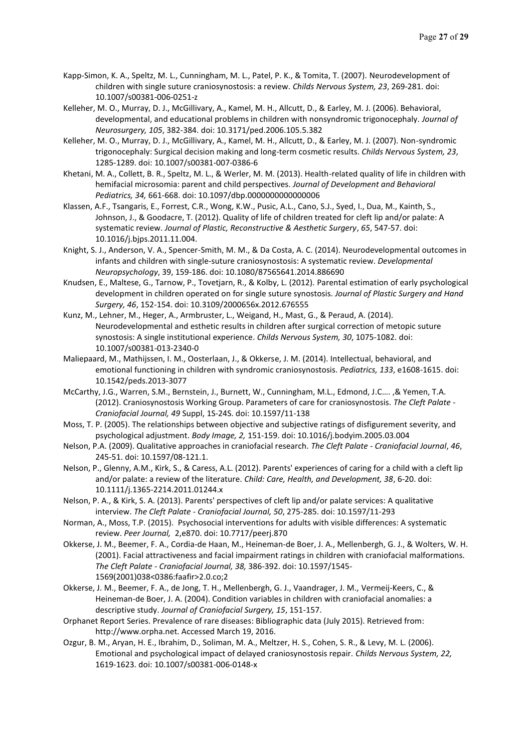- Kapp-Simon, K. A., Speltz, M. L., Cunningham, M. L., Patel, P. K., & Tomita, T. (2007). Neurodevelopment of children with single suture craniosynostosis: a review. *Childs Nervous System, 23*, 269-281. doi: 10.1007/s00381-006-0251-z
- Kelleher, M. O., Murray, D. J., McGillivary, A., Kamel, M. H., Allcutt, D., & Earley, M. J. (2006). Behavioral, developmental, and educational problems in children with nonsyndromic trigonocephaly. *Journal of Neurosurgery, 105*, 382-384. doi: 10.3171/ped.2006.105.5.382
- Kelleher, M. O., Murray, D. J., McGillivary, A., Kamel, M. H., Allcutt, D., & Earley, M. J. (2007). Non-syndromic trigonocephaly: Surgical decision making and long-term cosmetic results. *Childs Nervous System, 23*, 1285-1289. doi: 10.1007/s00381-007-0386-6
- Khetani, M. A., Collett, B. R., Speltz, M. L., & Werler, M. M. (2013). Health-related quality of life in children with hemifacial microsomia: parent and child perspectives. *Journal of Development and Behavioral Pediatrics, 34,* 661-668. doi: 10.1097/dbp.0000000000000006
- Klassen, A.F., Tsangaris, E., Forrest, C.R., Wong, K.W., Pusic, A.L., Cano, S.J., Syed, I., Dua, M., Kainth, S., Johnson, J., & Goodacre, T. (2012). Quality of life of children treated for cleft lip and/or palate: A systematic review. *Journal of Plastic, Reconstructive & Aesthetic Surgery*, *65*, 547-57. doi: 10.1016/j.bjps.2011.11.004.
- Knight, S. J., Anderson, V. A., Spencer-Smith, M. M., & Da Costa, A. C. (2014). Neurodevelopmental outcomes in infants and children with single-suture craniosynostosis: A systematic review. *Developmental Neuropsychology*, 39, 159-186. doi: 10.1080/87565641.2014.886690
- Knudsen, E., Maltese, G., Tarnow, P., Tovetjarn, R., & Kolby, L. (2012). Parental estimation of early psychological development in children operated on for single suture synostosis. *Journal of Plastic Surgery and Hand Surgery, 46*, 152-154. doi: 10.3109/2000656x.2012.676555
- Kunz, M., Lehner, M., Heger, A., Armbruster, L., Weigand, H., Mast, G., & Peraud, A. (2014). Neurodevelopmental and esthetic results in children after surgical correction of metopic suture synostosis: A single institutional experience. *Childs Nervous System, 30*, 1075-1082. doi: 10.1007/s00381-013-2340-0
- Maliepaard, M., Mathijssen, I. M., Oosterlaan, J., & Okkerse, J. M. (2014). Intellectual, behavioral, and emotional functioning in children with syndromic craniosynostosis. *Pediatrics, 133*, e1608-1615. doi: 10.1542/peds.2013-3077
- McCarthy, J.G., Warren, S.M., Bernstein, J., Burnett, W., Cunningham, M.L., Edmond, J.C…. ,& Yemen, T.A. (2012). Craniosynostosis Working Group. Parameters of care for craniosynostosis. *The Cleft Palate - Craniofacial Journal, 49* Suppl, 1S-24S. doi: 10.1597/11-138
- Moss, T. P. (2005). The relationships between objective and subjective ratings of disfigurement severity, and psychological adjustment. *Body Image, 2,* 151-159. doi: 10.1016/j.bodyim.2005.03.004
- Nelson, P.A. (2009). Qualitative approaches in craniofacial research. *The Cleft Palate - Craniofacial Journal*, *46*, 245-51. doi: 10.1597/08-121.1.
- Nelson, P., Glenny, A.M., Kirk, S., & Caress, A.L. (2012). Parents' experiences of caring for a child with a cleft lip and/or palate: a review of the literature. *Child: Care, Health, and Development, 38*, 6-20. doi: 10.1111/j.1365-2214.2011.01244.x
- Nelson, P. A., & Kirk, S. A. (2013). Parents' perspectives of cleft lip and/or palate services: A qualitative interview. *The Cleft Palate - Craniofacial Journal, 50*, 275-285. doi: 10.1597/11-293
- Norman, A., Moss, T.P. (2015). Psychosocial interventions for adults with visible differences: A systematic review. *Peer Journal,* 2,e870. doi: 10.7717/peerj.870
- Okkerse, J. M., Beemer, F. A., Cordia-de Haan, M., Heineman-de Boer, J. A., Mellenbergh, G. J., & Wolters, W. H. (2001). Facial attractiveness and facial impairment ratings in children with craniofacial malformations. *The Cleft Palate - Craniofacial Journal, 38,* 386-392. doi: 10.1597/1545- 1569(2001)038<0386:faafir>2.0.co;2
- Okkerse, J. M., Beemer, F. A., de Jong, T. H., Mellenbergh, G. J., Vaandrager, J. M., Vermeij-Keers, C., & Heineman-de Boer, J. A. (2004). Condition variables in children with craniofacial anomalies: a descriptive study. *Journal of Craniofacial Surgery, 15*, 151-157.
- Orphanet Report Series. Prevalence of rare diseases: Bibliographic data (July 2015). Retrieved from: http://www.orpha.net. Accessed March 19, 2016.
- Ozgur, B. M., Aryan, H. E., Ibrahim, D., Soliman, M. A., Meltzer, H. S., Cohen, S. R., & Levy, M. L. (2006). Emotional and psychological impact of delayed craniosynostosis repair. *Childs Nervous System, 22,* 1619-1623. doi: 10.1007/s00381-006-0148-x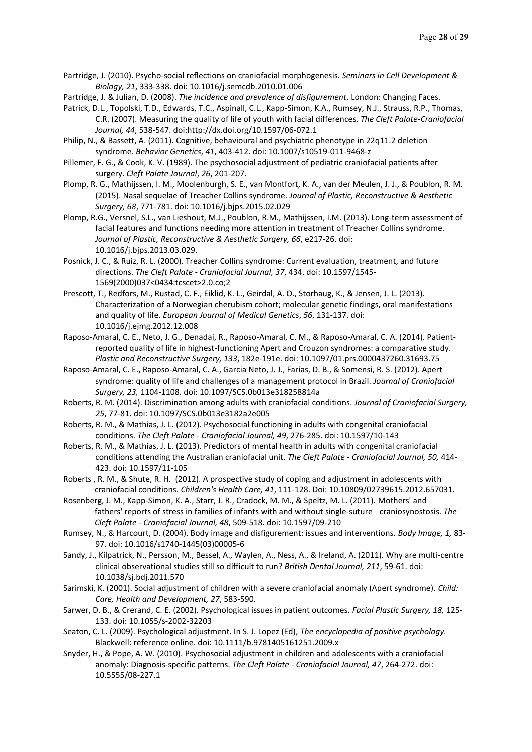- Partridge, J. (2010). Psycho-social reflections on craniofacial morphogenesis. *Seminars in Cell Development & Biology, 21*, 333-338. doi: 10.1016/j.semcdb.2010.01.006
- Partridge, J. & Julian, D. (2008). *The incidence and prevalence of disfigurement*. London: Changing Faces.
- Patrick, D.L., Topolski, T.D., Edwards, T.C., Aspinall, C.L., Kapp-Simon, K.A., Rumsey, N.J., Strauss, R.P., Thomas, C.R. (2007). Measuring the quality of life of youth with facial differences. *The Cleft Palate-Craniofacial Journal, 44*, 538-547. doi:http://dx.doi.org/10.1597/06-072.1
- Philip, N., & Bassett, A. (2011). Cognitive, behavioural and psychiatric phenotype in 22q11.2 deletion syndrome. *Behavior Genetics*, *41*, 403-412. doi: 10.1007/s10519-011-9468-z
- Pillemer, F. G., & Cook, K. V. (1989). The psychosocial adjustment of pediatric craniofacial patients after surgery. *Cleft Palate Journal*, *26*, 201-207.
- Plomp, R. G., Mathijssen, I. M., Moolenburgh, S. E., van Montfort, K. A., van der Meulen, J. J., & Poublon, R. M. (2015). Nasal sequelae of Treacher Collins syndrome. *Journal of Plastic, Reconstructive & Aesthetic Surgery, 68*, 771-781. doi: 10.1016/j.bjps.2015.02.029
- Plomp, R.G., Versnel, S.L., van Lieshout, M.J., Poublon, R.M., Mathijssen, I.M. (2013). Long-term assessment of facial features and functions needing more attention in treatment of Treacher Collins syndrome. *Journal of Plastic, Reconstructive & Aesthetic Surgery, 66*, e217-26. doi: 10.1016/j.bjps.2013.03.029.
- Posnick, J. C., & Ruiz, R. L. (2000). Treacher Collins syndrome: Current evaluation, treatment, and future directions. *The Cleft Palate - Craniofacial Journal, 37*, 434. doi: 10.1597/1545- 1569(2000)037<0434:tcscet>2.0.co;2
- Prescott, T., Redfors, M., Rustad, C. F., Eiklid, K. L., Geirdal, A. O., Storhaug, K., & Jensen, J. L. (2013). Characterization of a Norwegian cherubism cohort; molecular genetic findings, oral manifestations and quality of life. *European Journal of Medical Genetics*, *56*, 131-137. doi: 10.1016/j.ejmg.2012.12.008
- Raposo-Amaral, C. E., Neto, J. G., Denadai, R., Raposo-Amaral, C. M., & Raposo-Amaral, C. A. (2014). Patientreported quality of life in highest-functioning Apert and Crouzon syndromes: a comparative study. *Plastic and Reconstructive Surgery, 133*, 182e-191e. doi: 10.1097/01.prs.0000437260.31693.75
- Raposo-Amaral, C. E., Raposo-Amaral, C. A., Garcia Neto, J. J., Farias, D. B., & Somensi, R. S. (2012). Apert syndrome: quality of life and challenges of a management protocol in Brazil. *Journal of Craniofacial Surgery, 23,* 1104-1108. doi: 10.1097/SCS.0b013e318258814a
- Roberts, R. M. (2014). Discrimination among adults with craniofacial conditions. *Journal of Craniofacial Surgery, 25*, 77-81. doi: 10.1097/SCS.0b013e3182a2e005
- Roberts, R. M., & Mathias, J. L. (2012). Psychosocial functioning in adults with congenital craniofacial conditions. *The Cleft Palate - Craniofacial Journal, 49*, 276-285. doi: 10.1597/10-143
- Roberts, R. M., & Mathias, J. L. (2013). Predictors of mental health in adults with congenital craniofacial conditions attending the Australian craniofacial unit. *The Cleft Palate - Craniofacial Journal, 50,* 414- 423. doi: 10.1597/11-105
- Roberts , R. M., & Shute, R. H. (2012). A prospective study of coping and adjustment in adolescents with craniofacial conditions. *Children's Health Care, 41*, 111-128. Doi: 10.10809/02739615.2012.657031.
- Rosenberg, J. M., Kapp-Simon, K. A., Starr, J. R., Cradock, M. M., & Speltz, M. L. (2011). Mothers' and fathers' reports of stress in families of infants with and without single-suture craniosynostosis. *The Cleft Palate - Craniofacial Journal, 48*, 509-518. doi: 10.1597/09-210
- Rumsey, N., & Harcourt, D. (2004). Body image and disfigurement: issues and interventions. *Body Image, 1,* 83- 97. doi: 10.1016/s1740-1445(03)00005-6
- Sandy, J., Kilpatrick, N., Persson, M., Bessel, A., Waylen, A., Ness, A., & Ireland, A. (2011). Why are multi-centre clinical observational studies still so difficult to run? *British Dental Journal, 211*, 59-61. doi: 10.1038/sj.bdj.2011.570
- Sarimski, K. (2001). Social adjustment of children with a severe craniofacial anomaly (Apert syndrome). *Child: Care, Health and Development, 27*, 583-590.
- Sarwer, D. B., & Crerand, C. E. (2002). Psychological issues in patient outcomes. *Facial Plastic Surgery, 18,* 125- 133. doi: 10.1055/s-2002-32203
- Seaton, C. L. (2009). Psychological adjustment. In S. J. Lopez (Ed), *The encyclopedia of positive psychology.*  Blackwell: reference online. doi: 10.1111/b.9781405161251.2009.x
- Snyder, H., & Pope, A. W. (2010). Psychosocial adjustment in children and adolescents with a craniofacial anomaly: Diagnosis-specific patterns. *The Cleft Palate - Craniofacial Journal, 47*, 264-272. doi: 10.5555/08-227.1